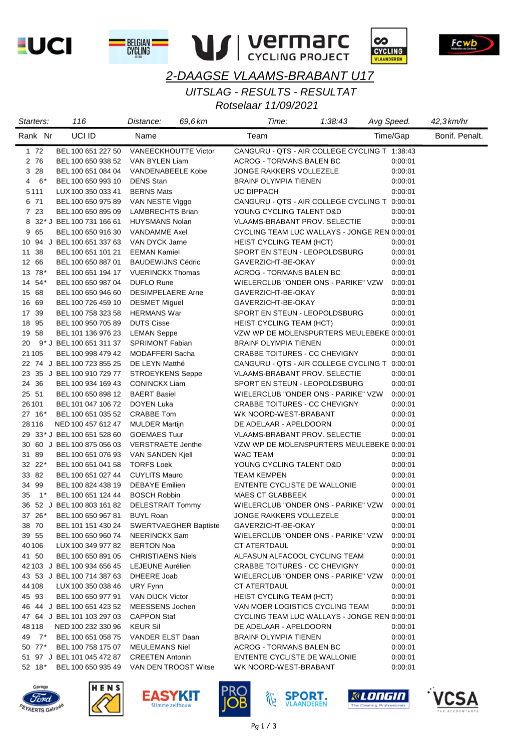**EUCI** 







Fcwb

# *2-DAAGSE VLAAMS-BRABANT U17*

*UITSLAG - RESULTS - RESULTAT*

| Starters:   | 116                         | Distance:                    | 69,6 km | Time:                                         | 1:38:43 | Avg Speed. | 42,3km/hr      |
|-------------|-----------------------------|------------------------------|---------|-----------------------------------------------|---------|------------|----------------|
| Rank Nr     | UCI ID                      | Name                         |         | Team                                          |         | Time/Gap   | Bonif. Penalt. |
| 1 72        | BEL 100 651 227 50          | VANEECKHOUTTE Victor         |         | CANGURU - QTS - AIR COLLEGE CYCLING T 1:38:43 |         |            |                |
| 2 76        | BEL 100 650 938 52          | VAN BYLEN Liam               |         | <b>ACROG - TORMANS BALEN BC</b>               |         | 0:00:01    |                |
| 3 28        | BEL 100 651 084 04          | <b>VANDENABEELE Kobe</b>     |         | JONGE RAKKERS VOLLEZELE                       |         | 0:00:01    |                |
| 6*<br>4     | BEL 100 650 993 10          | <b>DENS Stan</b>             |         | <b>BRAIN<sup>2</sup> OLYMPIA TIENEN</b>       |         | 0:00:01    |                |
| 5111        | LUX 100 350 033 41          | <b>BERNS Mats</b>            |         | UC DIPPACH                                    |         | 0.00.01    |                |
| 6 71        | BEL 100 650 975 89          | VAN NESTE Viggo              |         | CANGURU - QTS - AIR COLLEGE CYCLING T 0:00:01 |         |            |                |
| 7 23        | BEL 100 650 895 09          | <b>LAMBRECHTS Brian</b>      |         | YOUNG CYCLING TALENT D&D                      |         | 0.00.01    |                |
|             | 8 32* J BEL 100 731 166 61  | <b>HUYSMANS Nolan</b>        |         | <b>VLAAMS-BRABANT PROV. SELECTIE</b>          |         | 0.00.01    |                |
| 65<br>9     | BEL 100 650 916 30          | <b>VANDAMME Axel</b>         |         | CYCLING TEAM LUC WALLAYS - JONGE REN 0:00:01  |         |            |                |
|             | 10 94 J BEL 100 651 337 63  | VAN DYCK Jarne               |         | HEIST CYCLING TEAM (HCT)                      |         | 0:00:01    |                |
| 38<br>11    | BEL 100 651 101 21          | <b>EEMAN Kamiel</b>          |         | SPORT EN STEUN - LEOPOLDSBURG                 |         | 0:00:01    |                |
| 12 66       | BEL 100 650 887 01          | <b>BAUDEWIJNS Cédric</b>     |         | GAVERZICHT-BE-OKAY                            |         | 0:00:01    |                |
| 78*<br>13   | BEL 100 651 194 17          | <b>VUERINCKX Thomas</b>      |         | ACROG - TORMANS BALEN BC                      |         | 0:00:01    |                |
| 14 54*      | BEL 100 650 987 04          | <b>DUFLO Rune</b>            |         | WIELERCLUB "ONDER ONS - PARIKE" VZW           |         | 0:00:01    |                |
| 15 68       | BEL 100 650 946 60          | <b>DESIMPELAERE Arne</b>     |         | GAVERZICHT-BE-OKAY                            |         | 0:00:01    |                |
| 16 69       | BEL 100 726 459 10          | <b>DESMET Miguel</b>         |         | GAVERZICHT-BE-OKAY                            |         | 0:00:01    |                |
| 17 39       | BEL 100 758 323 58          | <b>HERMANS War</b>           |         | SPORT EN STEUN - LEOPOLDSBURG                 |         | 0:00:01    |                |
| 18 95       | BEL 100 950 705 89          | <b>DUTS Cisse</b>            |         | <b>HEIST CYCLING TEAM (HCT)</b>               |         | 0.00.01    |                |
| 19 58       | BEL 101 136 976 23          | <b>LEMAN Seppe</b>           |         | VZW WP DE MOLENSPURTERS MEULEBEKE 0:00:01     |         |            |                |
| 20          | 9* J BEL 100 651 311 37     | <b>SPRIMONT Fabian</b>       |         | BRAIN <sup>2</sup> OLYMPIA TIENEN             |         | 0:00:01    |                |
| 21 105      | BEL 100 998 479 42          | <b>MODAFFERI Sacha</b>       |         | CRABBE TOITURES - CC CHEVIGNY                 |         | 0:00:01    |                |
|             | 22 74 J BEL 100 723 855 25  | DE LEYN Matthé               |         | CANGURU - QTS - AIR COLLEGE CYCLING T 0:00:01 |         |            |                |
|             | 23 35 J BEL 100 910 729 77  | <b>STROEYKENS Seppe</b>      |         | <b>VLAAMS-BRABANT PROV. SELECTIE</b>          |         | 0:00:01    |                |
| 24 36       | BEL 100 934 169 43          | <b>CONINCKX Liam</b>         |         | SPORT EN STEUN - LEOPOLDSBURG                 |         | 0:00:01    |                |
| 25 51       | BEL 100 650 898 12          | <b>BAERT Basiel</b>          |         | WIELERCLUB "ONDER ONS - PARIKE" VZW           |         | 0:00:01    |                |
| 26 101      | BEL 101 047 106 72          | DOYEN Luka                   |         | CRABBE TOITURES - CC CHEVIGNY                 |         | 0:00:01    |                |
| 27 16*      | BEL 100 651 035 52          | <b>CRABBE Tom</b>            |         | WK NOORD-WEST-BRABANT                         |         | 0.00.01    |                |
| 28116       | NED 100 457 612 47          | <b>MULDER Martijn</b>        |         | DE ADELAAR - APELDOORN                        |         | 0.00.01    |                |
|             | 29 33* J BEL 100 651 528 60 | <b>GOEMAES Tuur</b>          |         | <b>VLAAMS-BRABANT PROV. SELECTIE</b>          |         | 0:00:01    |                |
|             | 30 60 J BEL 100 875 056 03  | <b>VERSTRAETE Jenthe</b>     |         | VZW WP DE MOLENSPURTERS MEULEBEKE 0:00:01     |         |            |                |
| 31 89       | BEL 100 651 076 93          | VAN SANDEN Kjell             |         | <b>WAC TEAM</b>                               |         | 0:00:01    |                |
| 32 22*      | BEL 100 651 041 58          | <b>TORFS Loek</b>            |         | YOUNG CYCLING TALENT D&D                      |         | 0:00:01    |                |
| 33 82       | BEL 100 651 027 44          | <b>CUYLITS Mauro</b>         |         | <b>TEAM KEMPEN</b>                            |         | 0:00:01    |                |
| 34 99       | BEL 100 824 438 19          | <b>DEBAYE Emilien</b>        |         | ENTENTE CYCLISTE DE WALLONIE                  |         | 0:00:01    |                |
| 35<br>$1^*$ | BEL 100 651 124 44          | <b>BOSCH Robbin</b>          |         | MAES CT GLABBEEK                              |         | 0:00:01    |                |
|             | 36 52 J BEL 100 803 161 82  | <b>DELESTRAIT Tommy</b>      |         | WIELERCLUB "ONDER ONS - PARIKE" VZW           |         | 0:00:01    |                |
| 37 26*      | BEL 100 650 967 81          | <b>BUYL Roan</b>             |         | JONGE RAKKERS VOLLEZELE                       |         | 0:00:01    |                |
| 38 70       | BEL 101 151 430 24          | <b>SWERTVAEGHER Baptiste</b> |         | GAVERZICHT-BE-OKAY                            |         | 0:00:01    |                |
| 39 55       | BEL 100 650 960 74          | NEERINCKX Sam                |         | WIELERCLUB "ONDER ONS - PARIKE" VZW           |         | 0:00:01    |                |
| 40106       | LUX 100 349 977 82          | <b>BERTON Noa</b>            |         | <b>CT ATERTDAUL</b>                           |         | 0:00:01    |                |
| 41 50       | BEL 100 650 891 05          | <b>CHRISTIAENS Niels</b>     |         | ALFASUN ALFACOOL CYCLING TEAM                 |         | 0:00:01    |                |
|             | 42 103 J BEL 100 934 656 45 | LEJEUNE Aurélien             |         | <b>CRABBE TOITURES - CC CHEVIGNY</b>          |         | 0:00:01    |                |
|             | 43 53 J BEL 100 714 387 63  | DHEERE Joab                  |         | WIELERCLUB "ONDER ONS - PARIKE" VZW           |         | 0:00:01    |                |
| 44 108      | LUX 100 350 038 46          | URY Fynn                     |         | <b>CT ATERTDAUL</b>                           |         | 0:00:01    |                |
| 45 93       | BEL 100 650 977 91          | VAN DIJCK Victor             |         | <b>HEIST CYCLING TEAM (HCT)</b>               |         | 0:00:01    |                |
|             | 46 44 J BEL 100 651 423 52  | MEESSENS Jochen              |         | VAN MOER LOGISTICS CYCLING TEAM               |         | 0:00:01    |                |
|             | 47 64 J BEL 101 103 297 03  | <b>CAPPON Staf</b>           |         | CYCLING TEAM LUC WALLAYS - JONGE REN 0:00:01  |         |            |                |
| 48118       | NED 100 232 330 96          | <b>KEUR Sil</b>              |         | DE ADELAAR - APELDOORN                        |         | 0:00:01    |                |
| 49<br>$7^*$ | BEL 100 651 058 75          | VANDER ELST Daan             |         | BRAIN <sup>2</sup> OLYMPIA TIENEN             |         | 0:00:01    |                |
| 50 77*      | BEL 100 758 175 07          | <b>MEULEMANS Niel</b>        |         | ACROG - TORMANS BALEN BC                      |         | 0:00:01    |                |
|             | 51 97 J BEL 101 045 472 87  | <b>CREETEN Antonin</b>       |         | ENTENTE CYCLISTE DE WALLONIE                  |         | 0:00:01    |                |
| $52 \t18^*$ | BEL 100 650 935 49          | VAN DEN TROOST Witse         |         | WK NOORD-WEST-BRABANT                         |         | 0:00:01    |                |
|             |                             |                              |         |                                               |         |            |                |













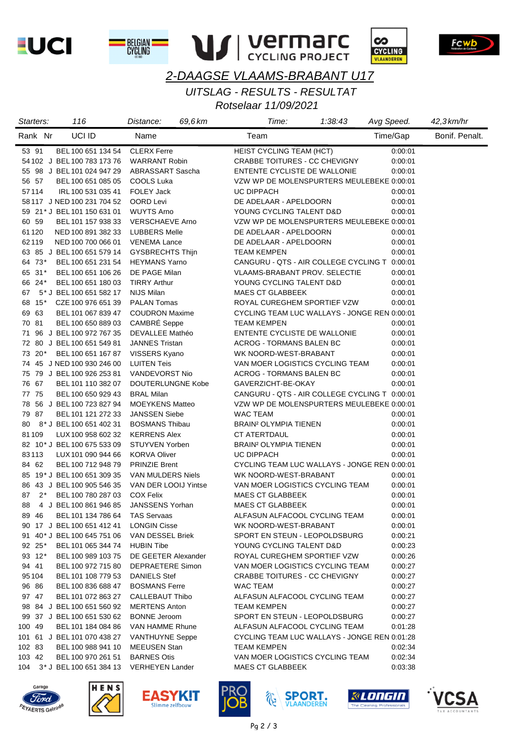**EUCI** 







Fcwb

# *2-DAAGSE VLAAMS-BRABANT U17*

*UITSLAG - RESULTS - RESULTAT*

| Starters:   | 116                          | Distance:               | 69,6 km | Time:                                         | 1:38:43 | Avg Speed. | 42,3km/hr      |
|-------------|------------------------------|-------------------------|---------|-----------------------------------------------|---------|------------|----------------|
| Rank Nr     | UCI ID                       | Name                    |         | Team                                          |         | Time/Gap   | Bonif. Penalt. |
| 53 91       | BEL 100 651 134 54           | <b>CLERX Ferre</b>      |         | HEIST CYCLING TEAM (HCT)                      |         | 0:00:01    |                |
|             | 54 102 J BEL 100 783 173 76  | <b>WARRANT Robin</b>    |         | CRABBE TOITURES - CC CHEVIGNY                 |         | 0:00:01    |                |
|             | 55 98 J BEL 101 024 947 29   | ABRASSART Sascha        |         | ENTENTE CYCLISTE DE WALLONIE                  |         | 0:00:01    |                |
| 56 57       | BEL 100 651 085 05           | COOLS Luka              |         | VZW WP DE MOLENSPURTERS MEULEBEKE 0:00:01     |         |            |                |
| 57114       | IRL 100 531 035 41           | FOLEY Jack              |         | UC DIPPACH                                    |         | 0:00:01    |                |
|             | 58 117 J NED 100 231 704 52  | OORD Levi               |         | DE ADELAAR - APELDOORN                        |         | 0:00:01    |                |
|             | 59 21 * J BEL 101 150 631 01 | <b>WUYTS Arno</b>       |         | YOUNG CYCLING TALENT D&D                      |         | 0:00:01    |                |
| 60 59       | BEL 101 157 938 33           | <b>VERSCHAEVE Arno</b>  |         | VZW WP DE MOLENSPURTERS MEULEBEKE 0:00:01     |         |            |                |
| 61120       | NED 100 891 382 33           | <b>LUBBERS Melle</b>    |         | DE ADELAAR - APELDOORN                        |         | 0:00:01    |                |
| 62119       | NED 100 700 066 01           | <b>VENEMA Lance</b>     |         | DE ADELAAR - APELDOORN                        |         | 0:00:01    |                |
|             | 63 85 J BEL 100 651 579 14   | <b>GYSBRECHTS Thijn</b> |         | <b>TEAM KEMPEN</b>                            |         | 0:00:01    |                |
| 64 73*      | BEL 100 651 231 54           | <b>HEYMANS Yarno</b>    |         | CANGURU - QTS - AIR COLLEGE CYCLING T 0:00:01 |         |            |                |
| 65 31*      | BEL 100 651 106 26           | DE PAGE Milan           |         | <b>VLAAMS-BRABANT PROV. SELECTIE</b>          |         | 0.00:01    |                |
| 66 24*      | BEL 100 651 180 03           | <b>TIRRY Arthur</b>     |         | YOUNG CYCLING TALENT D&D                      |         | 0:00:01    |                |
| 67          | 5* J BEL 100 651 582 17      | <b>NIJS Milan</b>       |         | MAES CT GLABBEEK                              |         | 0:00:01    |                |
| 68 15*      | CZE 100 976 651 39           | <b>PALAN Tomas</b>      |         | ROYAL CUREGHEM SPORTIEF VZW                   |         | 0:00:01    |                |
| 69 63       | BEL 101 067 839 47           | <b>COUDRON Maxime</b>   |         | CYCLING TEAM LUC WALLAYS - JONGE REN 0:00:01  |         |            |                |
| 70 81       | BEL 100 650 889 03           | <b>CAMBRÉ</b> Seppe     |         | <b>TEAM KEMPEN</b>                            |         | 0:00:01    |                |
| 71          | 96 J BEL 100 972 767 35      | DEVALLEE Mathéo         |         | ENTENTE CYCLISTE DE WALLONIE                  |         | 0:00:01    |                |
|             | 72 80 J BEL 100 651 549 81   | <b>JANNES Tristan</b>   |         | <b>ACROG - TORMANS BALEN BC</b>               |         | 0:00:01    |                |
| 73 20*      | BEL 100 651 167 87           | VISSERS Kyano           |         | WK NOORD-WEST-BRABANT                         |         | 0:00:01    |                |
|             | 74 45 J NED 100 930 246 00   | <b>LUITEN Teis</b>      |         | VAN MOER LOGISTICS CYCLING TEAM               |         | 0:00:01    |                |
|             | 75 79 J BEL 100 926 253 81   | VANDEVORST Nio          |         | ACROG - TORMANS BALEN BC                      |         | 0:00:01    |                |
| 76 67       | BEL 101 110 382 07           | DOUTERLUNGNE Kobe       |         | GAVERZICHT-BE-OKAY                            |         | 0:00:01    |                |
| 77 75       | BEL 100 650 929 43           | <b>BRAL Milan</b>       |         | CANGURU - QTS - AIR COLLEGE CYCLING T 0:00:01 |         |            |                |
|             | 78 56 J BEL 100 723 827 94   | <b>MOEYKENS Matteo</b>  |         | VZW WP DE MOLENSPURTERS MEULEBEKE 0:00:01     |         |            |                |
| 79 87       | BEL 101 121 272 33           | <b>JANSSEN Siebe</b>    |         | <b>WAC TEAM</b>                               |         | 0:00:01    |                |
| 80          | 8* J BEL 100 651 402 31      | <b>BOSMANS Thibau</b>   |         | <b>BRAIN<sup>2</sup> OLYMPIA TIENEN</b>       |         | 0:00:01    |                |
| 81109       | LUX 100 958 602 32           | <b>KERRENS Alex</b>     |         | CT ATERTDAUL                                  |         | 0:00:01    |                |
|             | 82 10* J BEL 100 675 533 09  | <b>STUYVEN Yorben</b>   |         | <b>BRAIN<sup>2</sup> OLYMPIA TIENEN</b>       |         | 0:00:01    |                |
| 83113       | LUX 101 090 944 66           | <b>KORVA Oliver</b>     |         | <b>UC DIPPACH</b>                             |         | 0:00:01    |                |
| 84 62       | BEL 100 712 948 79           | <b>PRINZIE Brent</b>    |         | CYCLING TEAM LUC WALLAYS - JONGE REN 0:00:01  |         |            |                |
|             | 85 19 * J BEL 100 651 309 35 | VAN MULDERS Niels       |         | WK NOORD-WEST-BRABANT                         |         | 0:00:01    |                |
|             | 86 43 J BEL 100 905 546 35   | VAN DER LOOIJ Yintse    |         | VAN MOER LOGISTICS CYCLING TEAM               |         | 0:00:01    |                |
| 87<br>$2^*$ | BEL 100 780 287 03           | <b>COX Felix</b>        |         | MAES CT GLABBEEK                              |         | 0:00:01    |                |
| 88          | 4 J BEL 100 861 946 85       | <b>JANSSENS Yorhan</b>  |         | <b>MAES CT GLABBEEK</b>                       |         | 0:00:01    |                |
| 89 46       | BEL 101 134 786 64           | TAS Servaas             |         | ALFASUN ALFACOOL CYCLING TEAM                 |         | 0:00:01    |                |
|             | 90 17 J BEL 100 651 412 41   | <b>LONGIN Cisse</b>     |         | WK NOORD-WEST-BRABANT                         |         | 0:00:01    |                |
|             | 91 40* J BEL 100 645 751 06  | VAN DESSEL Briek        |         | SPORT EN STEUN - LEOPOLDSBURG                 |         | 0:00:21    |                |
| $92 \t25^*$ | BEL 101 065 344 74           | <b>HUBIN Tibe</b>       |         | YOUNG CYCLING TALENT D&D                      |         | 0:00:23    |                |
| $93 \t12^*$ | BEL 100 989 103 75           | DE GEETER Alexander     |         | ROYAL CUREGHEM SPORTIEF VZW                   |         | 0:00:26    |                |
| 94 41       | BEL 100 972 715 80           | DEPRAETERE Simon        |         | VAN MOER LOGISTICS CYCLING TEAM               |         | 0:00:27    |                |
| 95104       | BEL 101 108 779 53           | <b>DANIELS Stef</b>     |         | <b>CRABBE TOITURES - CC CHEVIGNY</b>          |         | 0:00:27    |                |
| 96 86       | BEL 100 836 688 47           | <b>BOSMANS Ferre</b>    |         | WAC TEAM                                      |         | 0:00:27    |                |
| 97 47       | BEL 101 072 863 27           | CALLEBAUT Thibo         |         | ALFASUN ALFACOOL CYCLING TEAM                 |         | 0:00:27    |                |
|             | 98 84 J BEL 100 651 560 92   | <b>MERTENS Anton</b>    |         | TEAM KEMPEN                                   |         | 0:00:27    |                |
|             | 99 37 J BEL 100 651 530 62   | <b>BONNE Jeroom</b>     |         | SPORT EN STEUN - LEOPOLDSBURG                 |         | 0:00:27    |                |
| 100 49      | BEL 101 184 084 86           | VAN HAMME Rhune         |         | ALFASUN ALFACOOL CYCLING TEAM                 |         | 0:01:28    |                |
|             | 101 61 J BEL 101 070 438 27  | <b>VANTHUYNE Seppe</b>  |         | CYCLING TEAM LUC WALLAYS - JONGE REN 0:01:28  |         |            |                |
| 102 83      | BEL 100 988 941 10           | MEEUSEN Stan            |         | TEAM KEMPEN                                   |         | 0:02:34    |                |
| 103 42      | BEL 100 970 261 51           | <b>BARNES Otis</b>      |         | VAN MOER LOGISTICS CYCLING TEAM               |         | 0:02:34    |                |
| 104         | 3* J BEL 100 651 384 13      | <b>VERHEYEN Lander</b>  |         | <b>MAES CT GLABBEEK</b>                       |         | 0:03:38    |                |
|             |                              |                         |         |                                               |         |            |                |













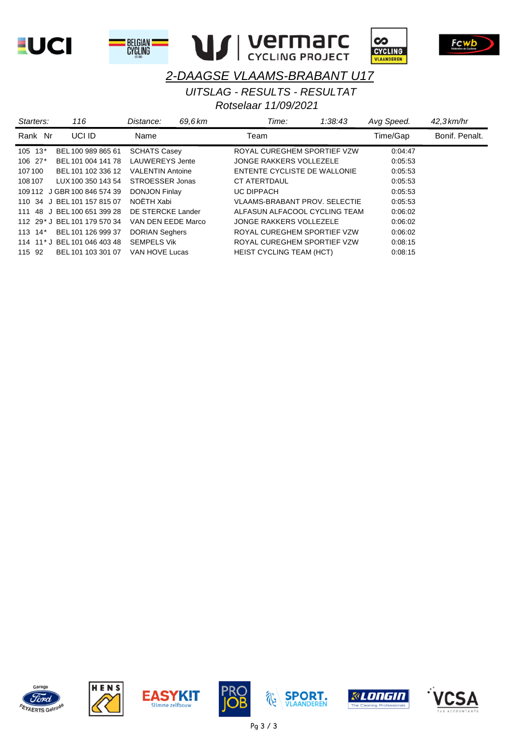**EUCI** 









# *2-DAAGSE VLAAMS-BRABANT U17*

*UITSLAG - RESULTS - RESULTAT*

| Starters:   | 116                           | Distance:               | 69.6 km | Time:                                | 1:38:43 | Avg Speed. | 42.3 km/hr     |
|-------------|-------------------------------|-------------------------|---------|--------------------------------------|---------|------------|----------------|
| Rank Nr     | UCI ID                        | Name                    |         | Team                                 |         | Time/Gap   | Bonif. Penalt. |
| $105 \t13*$ | BEL 100 989 865 61            | <b>SCHATS Casev</b>     |         | ROYAL CUREGHEM SPORTIEF VZW          |         | 0.04.47    |                |
| 106 27*     | BEL 101 004 141 78            | LAUWEREYS Jente         |         | JONGE RAKKERS VOLLEZELE              |         | 0:05:53    |                |
| 107100      | BEL 101 102 336 12            | <b>VALENTIN Antoine</b> |         | ENTENTE CYCLISTE DE WALLONIE         |         | 0:05:53    |                |
| 108 107     | LUX 100 350 143 54            | STROESSER Jonas         |         | <b>CT ATERTDAUL</b>                  |         | 0:05:53    |                |
|             | 109 112 J GBR 100 846 574 39  | <b>DONJON Finlay</b>    |         | <b>UC DIPPACH</b>                    |         | 0:05:53    |                |
|             | 110 34 J BEL 101 157 815 07   | NOËTH Xabi              |         | <b>VLAAMS-BRABANT PROV. SELECTIE</b> |         | 0:05:53    |                |
| 111         | 48 J BEL 100 651 399 28       | DE STERCKE Lander       |         | ALFASUN ALFACOOL CYCLING TEAM        |         | 0:06:02    |                |
|             | 112 29 * J BEL 101 179 570 34 | VAN DEN EEDE Marco      |         | JONGE RAKKERS VOLLEZELE              |         | 0:06:02    |                |
| $113 \t14*$ | BEL 101 126 999 37            | <b>DORIAN Seghers</b>   |         | ROYAL CUREGHEM SPORTIEF VZW          |         | 0:06:02    |                |
|             | 114 11 * J BEL 101 046 403 48 | <b>SEMPELS Vik</b>      |         | ROYAL CUREGHEM SPORTIEF VZW          |         | 0:08:15    |                |
| 115 92      | BEL 101 103 301 07            | VAN HOVE Lucas          |         | <b>HEIST CYCLING TEAM (HCT)</b>      |         | 0:08:15    |                |













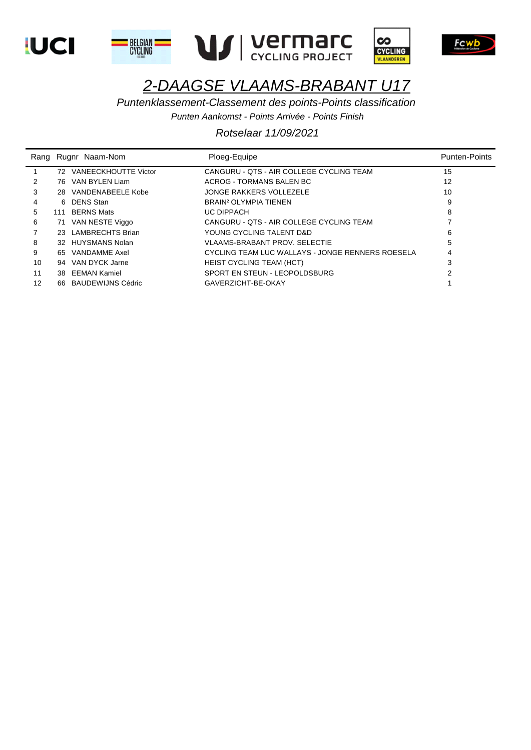









*Puntenklassement-Classement des points-Points classification*

*Punten Aankomst - Points Arrivée - Points Finish*

|    | Rang Rugnr Naam-Nom     | Ploeg-Equipe                                     | <b>Punten-Points</b> |
|----|-------------------------|--------------------------------------------------|----------------------|
|    | 72 VANEECKHOUTTE Victor | CANGURU - QTS - AIR COLLEGE CYCLING TEAM         | 15                   |
| 2  | 76 VAN BYLEN Liam       | ACROG - TORMANS BALEN BC                         | 12                   |
| 3  | 28 VANDENABEELE Kobe    | JONGE RAKKERS VOLLEZELE                          | 10                   |
| 4  | 6 DENS Stan             | BRAIN <sup>2</sup> OLYMPIA TIENEN                | 9                    |
| 5  | 111 BERNS Mats          | UC DIPPACH                                       | 8                    |
| 6  | 71 VAN NESTE Viggo      | CANGURU - OTS - AIR COLLEGE CYCLING TEAM         |                      |
|    | 23 LAMBRECHTS Brian     | YOUNG CYCLING TALENT D&D                         | 6                    |
| 8  | 32 HUYSMANS Nolan       | <b>VLAAMS-BRABANT PROV. SELECTIE</b>             | 5                    |
| 9  | 65 VANDAMME Axel        | CYCLING TEAM LUC WALLAYS - JONGE RENNERS ROESELA | 4                    |
| 10 | 94 VAN DYCK Jarne       | <b>HEIST CYCLING TEAM (HCT)</b>                  | 3                    |
| 11 | 38 EEMAN Kamiel         | SPORT EN STEUN - LEOPOLDSBURG                    | າ                    |
| 12 | 66 BAUDEWIJNS Cédric    | GAVERZICHT-BE-OKAY                               |                      |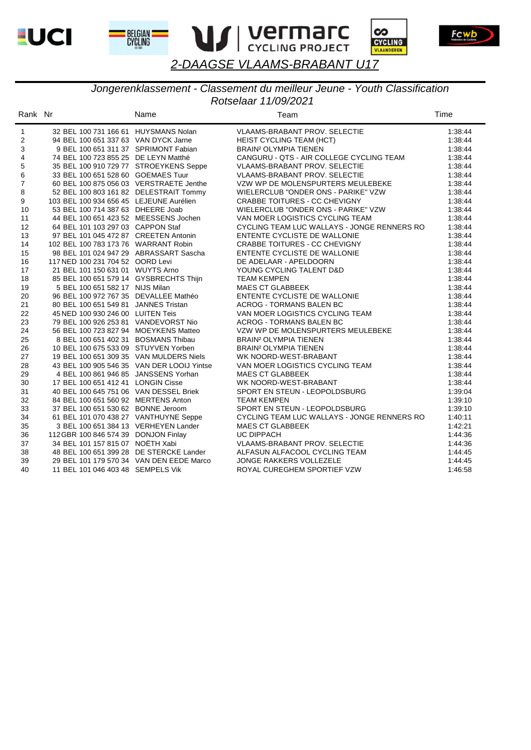







Fcwb

# 2-DAAGSE VLAAMS-BRABANT U17

## Jongerenklassement - Classement du meilleur Jeune - Youth Classification Rotselaar 11/09/2021

| Rank Nr        |                                            | Name | Team                                        | Time    |
|----------------|--------------------------------------------|------|---------------------------------------------|---------|
| $\mathbf{1}$   | 32 BEL 100 731 166 61 HUYSMANS Nolan       |      | <b>VLAAMS-BRABANT PROV. SELECTIE</b>        | 1:38:44 |
| $\sqrt{2}$     | 94 BEL 100 651 337 63 VAN DYCK Jame        |      | <b>HEIST CYCLING TEAM (HCT)</b>             | 1:38:44 |
| 3              | 9 BEL 100 651 311 37 SPRIMONT Fabian       |      | <b>BRAIN<sup>2</sup> OLYMPIA TIENEN</b>     | 1:38:44 |
| 4              | 74 BEL 100 723 855 25 DE LEYN Matthé       |      | CANGURU - QTS - AIR COLLEGE CYCLING TEAM    | 1:38:44 |
| 5              | 35 BEL 100 910 729 77 STROEYKENS Seppe     |      | <b>VLAAMS-BRABANT PROV. SELECTIE</b>        | 1:38:44 |
| 6              | 33 BEL 100 651 528 60 GOEMAES Tuur         |      | <b>VLAAMS-BRABANT PROV. SELECTIE</b>        | 1:38:44 |
| $\overline{7}$ | 60 BEL 100 875 056 03 VERSTRAETE Jenthe    |      | VZW WP DE MOLENSPURTERS MEULEBEKE           | 1:38:44 |
| 8              | 52 BEL 100 803 161 82 DELESTRAIT Tommy     |      | WIELERCLUB "ONDER ONS - PARIKE" VZW         | 1:38:44 |
| 9              | 103 BEL 100 934 656 45 LEJEUNE Aurélien    |      | CRABBE TOITURES - CC CHEVIGNY               | 1:38:44 |
| 10             | 53 BEL 100 714 387 63 DHEERE Joab          |      | WIELERCLUB "ONDER ONS - PARIKE" VZW         | 1:38:44 |
| 11             | 44 BEL 100 651 423 52 MEESSENS Jochen      |      | VAN MOER LOGISTICS CYCLING TEAM             | 1:38:44 |
| 12             | 64 BEL 101 103 297 03 CAPPON Staf          |      | CYCLING TEAM LUC WALLAYS - JONGE RENNERS RO | 1:38:44 |
| 13             | 97 BEL 101 045 472 87 CREETEN Antonin      |      | ENTENTE CYCLISTE DE WALLONIE                | 1:38:44 |
| 14             | 102 BEL 100 783 173 76 WARRANT Robin       |      | CRABBE TOITURES - CC CHEVIGNY               | 1:38:44 |
| 15             | 98 BEL 101 024 947 29 ABRASSART Sascha     |      | ENTENTE CYCLISTE DE WALLONIE                | 1:38:44 |
| 16             | 117 NED 100 231 704 52 OORD Levi           |      | DE ADELAAR - APELDOORN                      | 1:38:44 |
| 17             | 21 BEL 101 150 631 01 WUYTS Arno           |      | YOUNG CYCLING TALENT D&D                    | 1.38.44 |
| 18             | 85 BEL 100 651 579 14 GYSBRECHTS Thijn     |      | <b>TEAM KEMPEN</b>                          | 1:38:44 |
| 19             | 5 BEL 100 651 582 17 NIJS Milan            |      | <b>MAES CT GLABBEEK</b>                     | 1:38:44 |
| 20             | 96 BEL 100 972 767 35 DEVALLEE Mathéo      |      | ENTENTE CYCLISTE DE WALLONIE                | 1:38:44 |
| 21             | 80 BEL 100 651 549 81 JANNES Tristan       |      | <b>ACROG - TORMANS BALEN BC</b>             | 1.38.44 |
| 22             | 45 NED 100 930 246 00 LUITEN Teis          |      | VAN MOER LOGISTICS CYCLING TEAM             | 1:38:44 |
| 23             | 79 BEL 100 926 253 81 VANDEVORST Nio       |      | ACROG - TORMANS BALEN BC                    | 1:38:44 |
| 24             | 56 BEL 100 723 827 94 MOEYKENS Matteo      |      | VZW WP DE MOLENSPURTERS MEULEBEKE           | 1:38:44 |
| 25             | 8 BEL 100 651 402 31 BOSMANS Thibau        |      | <b>BRAIN<sup>2</sup> OLYMPIA TIENEN</b>     | 1:38:44 |
| 26             | 10 BEL 100 675 533 09 STUYVEN Yorben       |      | <b>BRAIN<sup>2</sup> OLYMPIA TIENEN</b>     | 1:38:44 |
| 27             | 19 BEL 100 651 309 35 VAN MULDERS Niels    |      | WK NOORD-WEST-BRABANT                       | 1:38:44 |
| 28             | 43 BEL 100 905 546 35 VAN DER LOOIJ Yintse |      | VAN MOER LOGISTICS CYCLING TEAM             | 1:38:44 |
| 29             | 4 BEL 100 861 946 85 JANSSENS Yorhan       |      | <b>MAES CT GLABBEEK</b>                     | 1:38:44 |
| 30             | 17 BEL 100 651 412 41 LONGIN Cisse         |      | WK NOORD-WEST-BRABANT                       | 1.38.44 |
| 31             | 40 BEL 100 645 751 06 VAN DESSEL Briek     |      | SPORT EN STEUN - LEOPOLDSBURG               | 1:39:04 |
| 32             | 84 BEL 100 651 560 92 MERTENS Anton        |      | <b>TEAM KEMPEN</b>                          | 1:39:10 |
| 33             | 37 BEL 100 651 530 62 BONNE Jeroom         |      | SPORT EN STEUN - LEOPOLDSBURG               | 1:39:10 |
| 34             | 61 BEL 101 070 438 27 VANTHUYNE Seppe      |      | CYCLING TEAM LUC WALLAYS - JONGE RENNERS RO | 1:40:11 |
| 35             | 3 BEL 100 651 384 13 VERHEYEN Lander       |      | <b>MAES CT GLABBEEK</b>                     | 1:42:21 |
| 36             | 112 GBR 100 846 574 39 DONJON Finlav       |      | <b>UC DIPPACH</b>                           | 1:44:36 |
| 37             | 34 BEL 101 157 815 07 NOËTH Xabi           |      | <b>VLAAMS-BRABANT PROV. SELECTIE</b>        | 1:44:36 |
| 38             | 48 BEL 100 651 399 28 DE STERCKE Lander    |      | ALFASUN ALFACOOL CYCLING TEAM               | 1:44:45 |
| 39             | 29 BEL 101 179 570 34 VAN DEN EEDE Marco   |      | JONGE RAKKERS VOLLEZELE                     | 1:44:45 |
| 40             | 11 BEL 101 046 403 48 SEMPELS Vik          |      | ROYAL CUREGHEM SPORTIEF VZW                 | 1:46:58 |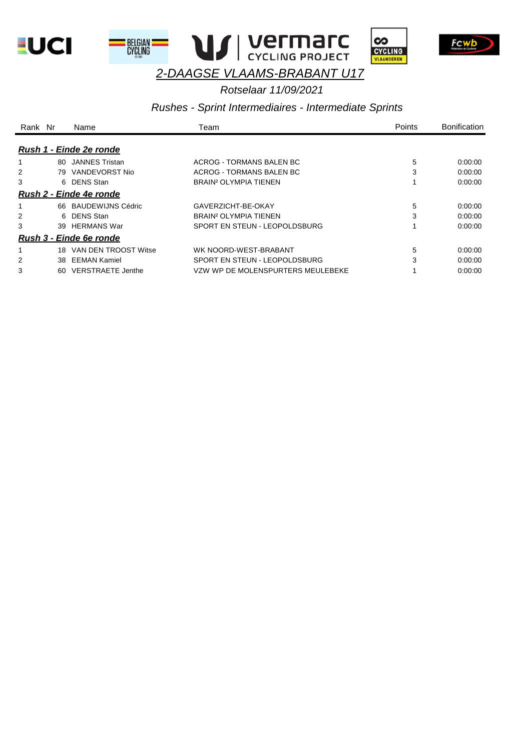









## *Rotselaar 11/09/2021*

## *Rushes - Sprint Intermediaires - Intermediate Sprints*

| Rank Nr |     | Name                           | Team                              | <b>Points</b> | <b>Bonification</b> |
|---------|-----|--------------------------------|-----------------------------------|---------------|---------------------|
|         |     | Rush 1 - Einde 2e ronde        |                                   |               |                     |
|         | 80  | JANNES Tristan                 | ACROG - TORMANS BALEN BC          | 5             | 0.00:00             |
| 2       | 79. | VANDEVORST Nio                 | ACROG - TORMANS BALEN BC          | 3             | 0.00:00             |
| 3       |     | 6 DENS Stan                    | BRAIN <sup>2</sup> OLYMPIA TIENEN |               | 0:00:00             |
|         |     | <u>Rush 2 - Einde 4e ronde</u> |                                   |               |                     |
|         |     | 66 BAUDEWIJNS Cédric           | GAVERZICHT-BE-OKAY                | 5             | 0.00:00             |
| 2       |     | 6 DENS Stan                    | BRAIN <sup>2</sup> OLYMPIA TIENEN | 3             | 0.00:00             |
| 3       | 39  | <b>HERMANS War</b>             | SPORT EN STEUN - LEOPOLDSBURG     |               | 0:00:00             |
|         |     | Rush 3 - Einde 6e ronde        |                                   |               |                     |
|         | 18  | VAN DEN TROOST Witse           | WK NOORD-WEST-BRABANT             | 5             | 0:00:00             |
| 2       | 38. | <b>EEMAN Kamiel</b>            | SPORT EN STEUN - LEOPOLDSBURG     | 3             | 0:00:00             |
| 3       | 60  | <b>VERSTRAETE Jenthe</b>       | VZW WP DE MOLENSPURTERS MEULEBEKE |               | 0:00:00             |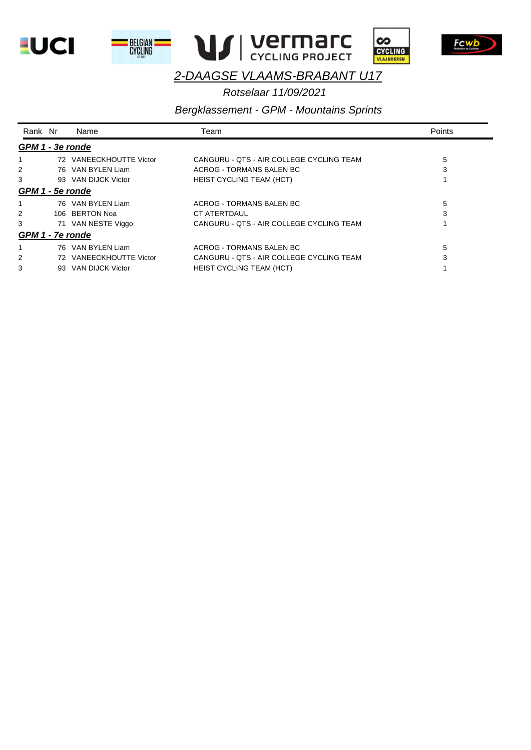









## *Rotselaar 11/09/2021*

## *Bergklassement - GPM - Mountains Sprints*

|   | Rank Nr          | Name                    | Team                                     | Points |
|---|------------------|-------------------------|------------------------------------------|--------|
|   | GPM 1 - 3e ronde |                         |                                          |        |
|   |                  | 72 VANEECKHOUTTE Victor | CANGURU - QTS - AIR COLLEGE CYCLING TEAM | 5      |
| 2 |                  | 76 VAN BYLEN Liam       | ACROG - TORMANS BALEN BC                 | 3      |
| 3 |                  | 93 VAN DIJCK Victor     | <b>HEIST CYCLING TEAM (HCT)</b>          |        |
|   | GPM 1 - 5e ronde |                         |                                          |        |
|   |                  | 76 VAN BYLEN Liam       | ACROG - TORMANS BALEN BC                 | 5      |
| 2 |                  | 106 BERTON Noa          | <b>CT ATERTDAUL</b>                      | 3      |
| 3 |                  | 71 VAN NESTE Viggo      | CANGURU - QTS - AIR COLLEGE CYCLING TEAM |        |
|   | GPM 1 - 7e ronde |                         |                                          |        |
|   |                  | 76 VAN BYLEN Liam       | ACROG - TORMANS BALEN BC                 | 5      |
| 2 |                  | 72 VANEECKHOUTTE Victor | CANGURU - QTS - AIR COLLEGE CYCLING TEAM | 3      |
| 3 | 93               | VAN DIJCK Victor        | <b>HEIST CYCLING TEAM (HCT)</b>          |        |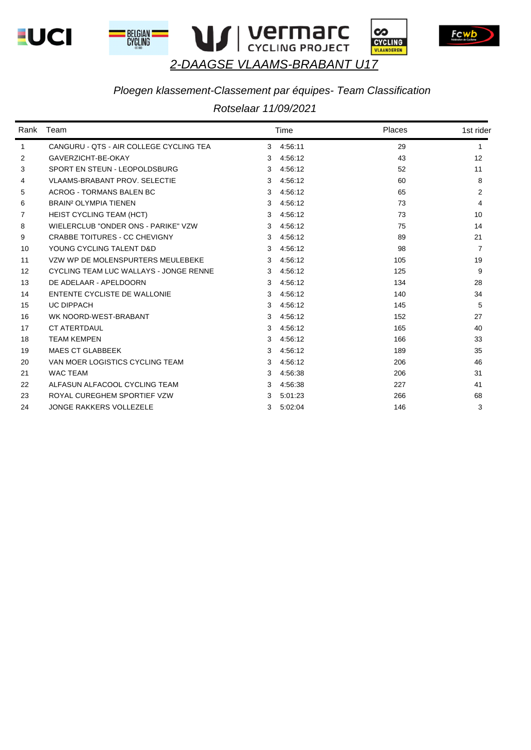









# *Ploegen klassement-Classement par équipes- Team Classification*

| Rank              | Team                                    |   | Time    | Places | 1st rider |
|-------------------|-----------------------------------------|---|---------|--------|-----------|
| $\mathbf{1}$      | CANGURU - QTS - AIR COLLEGE CYCLING TEA | 3 | 4:56:11 | 29     |           |
| 2                 | GAVERZICHT-BE-OKAY                      | 3 | 4:56:12 | 43     | 12        |
| 3                 | SPORT EN STEUN - LEOPOLDSBURG           | 3 | 4:56:12 | 52     | 11        |
| 4                 | <b>VLAAMS-BRABANT PROV. SELECTIE</b>    | 3 | 4:56:12 | 60     | 8         |
| 5                 | <b>ACROG - TORMANS BALEN BC</b>         | 3 | 4:56:12 | 65     | 2         |
| 6                 | <b>BRAIN<sup>2</sup> OLYMPIA TIENEN</b> | 3 | 4:56:12 | 73     | 4         |
| 7                 | <b>HEIST CYCLING TEAM (HCT)</b>         | 3 | 4:56:12 | 73     | 10        |
| 8                 | WIELERCLUB "ONDER ONS - PARIKE" VZW     | 3 | 4:56:12 | 75     | 14        |
| 9                 | <b>CRABBE TOITURES - CC CHEVIGNY</b>    | 3 | 4:56:12 | 89     | 21        |
| 10                | YOUNG CYCLING TALENT D&D                | 3 | 4:56:12 | 98     | 7         |
| 11                | VZW WP DE MOLENSPURTERS MEULEBEKE       | 3 | 4:56:12 | 105    | 19        |
| $12 \overline{ }$ | CYCLING TEAM LUC WALLAYS - JONGE RENNE  | 3 | 4:56:12 | 125    | 9         |
| 13                | DE ADELAAR - APELDOORN                  | 3 | 4:56:12 | 134    | 28        |
| 14                | ENTENTE CYCLISTE DE WALLONIE            | 3 | 4:56:12 | 140    | 34        |
| 15                | <b>UC DIPPACH</b>                       | 3 | 4:56:12 | 145    | 5         |
| 16                | WK NOORD-WEST-BRABANT                   | 3 | 4:56:12 | 152    | 27        |
| 17                | <b>CT ATERTDAUL</b>                     | 3 | 4:56:12 | 165    | 40        |
| 18                | <b>TEAM KEMPEN</b>                      | 3 | 4:56:12 | 166    | 33        |
| 19                | <b>MAES CT GLABBEEK</b>                 | 3 | 4:56:12 | 189    | 35        |
| 20                | VAN MOER LOGISTICS CYCLING TEAM         | 3 | 4:56:12 | 206    | 46        |
| 21                | <b>WAC TEAM</b>                         | 3 | 4.56.38 | 206    | 31        |
| 22                | ALFASUN ALFACOOL CYCLING TEAM           | 3 | 4:56:38 | 227    | 41        |
| 23                | ROYAL CUREGHEM SPORTIEF VZW             | 3 | 5:01:23 | 266    | 68        |
| 24                | <b>JONGE RAKKERS VOLLEZELE</b>          | 3 | 5:02:04 | 146    | 3         |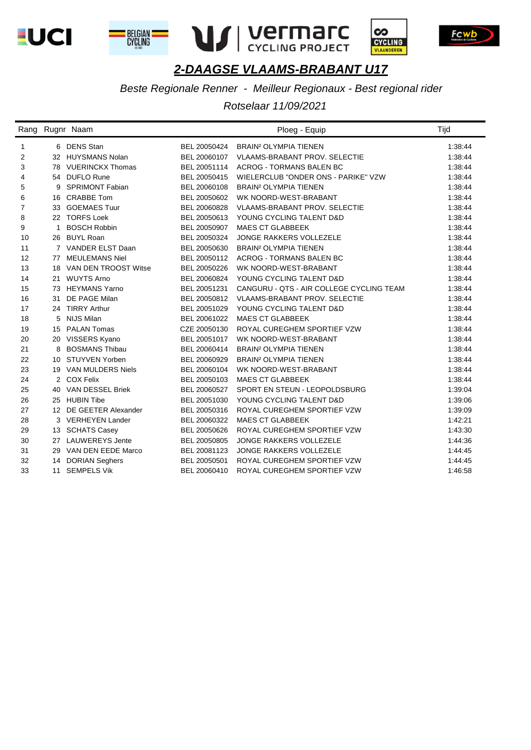









*Beste Regionale Renner - Meilleur Regionaux - Best regional rider*

|                |    | Rang Rugnr Naam        |              | Ploeg - Equip                            | Tijd    |
|----------------|----|------------------------|--------------|------------------------------------------|---------|
| $\mathbf{1}$   |    | 6 DENS Stan            | BEL 20050424 | <b>BRAIN<sup>2</sup> OLYMPIA TIENEN</b>  | 1:38:44 |
| $\overline{2}$ |    | 32 HUYSMANS Nolan      | BEL 20060107 | VLAAMS-BRABANT PROV. SELECTIE            | 1:38:44 |
| 3              |    | 78 VUERINCKX Thomas    | BEL 20051114 | <b>ACROG - TORMANS BALEN BC</b>          | 1:38:44 |
| $\overline{4}$ |    | 54 DUFLO Rune          | BEL 20050415 | WIELERCLUB "ONDER ONS - PARIKE" VZW      | 1:38:44 |
| 5              | 9  | <b>SPRIMONT Fabian</b> | BEL 20060108 | <b>BRAIN<sup>2</sup> OLYMPIA TIENEN</b>  | 1:38:44 |
| 6              | 16 | <b>CRABBE Tom</b>      | BEL 20050602 | WK NOORD-WEST-BRABANT                    | 1:38:44 |
| $\overline{7}$ | 33 | <b>GOEMAES Tuur</b>    | BEL 20060828 | <b>VLAAMS-BRABANT PROV. SELECTIE</b>     | 1:38:44 |
| 8              |    | 22 TORFS Loek          | BEL 20050613 | YOUNG CYCLING TALENT D&D                 | 1:38:44 |
| 9              | 1  | <b>BOSCH Robbin</b>    | BEL 20050907 | <b>MAES CT GLABBEEK</b>                  | 1:38:44 |
| 10             |    | 26 BUYL Roan           | BEL 20050324 | <b>JONGE RAKKERS VOLLEZELE</b>           | 1:38:44 |
| 11             |    | 7 VANDER ELST Daan     | BEL 20050630 | <b>BRAIN<sup>2</sup> OLYMPIA TIENEN</b>  | 1:38:44 |
| 12             | 77 | <b>MEULEMANS Niel</b>  | BEL 20050112 | <b>ACROG - TORMANS BALEN BC</b>          | 1:38:44 |
| 13             | 18 | VAN DEN TROOST Witse   | BEL 20050226 | WK NOORD-WEST-BRABANT                    | 1:38:44 |
| 14             |    | 21 WUYTS Arno          | BEL 20060824 | YOUNG CYCLING TALENT D&D                 | 1:38:44 |
| 15             |    | 73 HEYMANS Yarno       | BEL 20051231 | CANGURU - QTS - AIR COLLEGE CYCLING TEAM | 1:38:44 |
| 16             | 31 | DE PAGE Milan          | BEL 20050812 | <b>VLAAMS-BRABANT PROV. SELECTIE</b>     | 1:38:44 |
| 17             |    | 24 TIRRY Arthur        | BEL 20051029 | YOUNG CYCLING TALENT D&D                 | 1:38:44 |
| 18             | 5  | NIJS Milan             | BEL 20061022 | <b>MAES CT GLABBEEK</b>                  | 1:38:44 |
| 19             | 15 | <b>PALAN Tomas</b>     | CZE 20050130 | ROYAL CUREGHEM SPORTIEF VZW              | 1:38:44 |
| 20             |    | 20 VISSERS Kyano       | BEL 20051017 | WK NOORD-WEST-BRABANT                    | 1:38:44 |
| 21             | 8  | <b>BOSMANS Thibau</b>  | BEL 20060414 | <b>BRAIN<sup>2</sup> OLYMPIA TIENEN</b>  | 1:38:44 |
| 22             | 10 | <b>STUYVEN Yorben</b>  | BEL 20060929 | <b>BRAIN<sup>2</sup> OLYMPIA TIENEN</b>  | 1:38:44 |
| 23             | 19 | VAN MULDERS Niels      | BEL 20060104 | WK NOORD-WEST-BRABANT                    | 1:38:44 |
| 24             | 2  | <b>COX Felix</b>       | BEL 20050103 | <b>MAES CT GLABBEEK</b>                  | 1:38:44 |
| 25             | 40 | VAN DESSEL Briek       | BEL 20060527 | SPORT EN STEUN - LEOPOLDSBURG            | 1:39:04 |
| 26             | 25 | <b>HUBIN Tibe</b>      | BEL 20051030 | YOUNG CYCLING TALENT D&D                 | 1:39:06 |
| 27             | 12 | DE GEETER Alexander    | BEL 20050316 | ROYAL CUREGHEM SPORTIEF VZW              | 1:39:09 |
| 28             |    | 3 VERHEYEN Lander      | BEL 20060322 | <b>MAES CT GLABBEEK</b>                  | 1:42:21 |
| 29             | 13 | <b>SCHATS Casey</b>    | BEL 20050626 | ROYAL CUREGHEM SPORTIEF VZW              | 1:43:30 |
| 30             | 27 | <b>LAUWEREYS Jente</b> | BEL 20050805 | JONGE RAKKERS VOLLEZELE                  | 1:44:36 |
| 31             |    | 29 VAN DEN EEDE Marco  | BEL 20081123 | JONGE RAKKERS VOLLEZELE                  | 1:44:45 |
| 32             | 14 | <b>DORIAN Seghers</b>  | BEL 20050501 | ROYAL CUREGHEM SPORTIEF VZW              | 1:44:45 |
| 33             | 11 | <b>SEMPELS Vik</b>     | BEL 20060410 | ROYAL CUREGHEM SPORTIEF VZW              | 1:46:58 |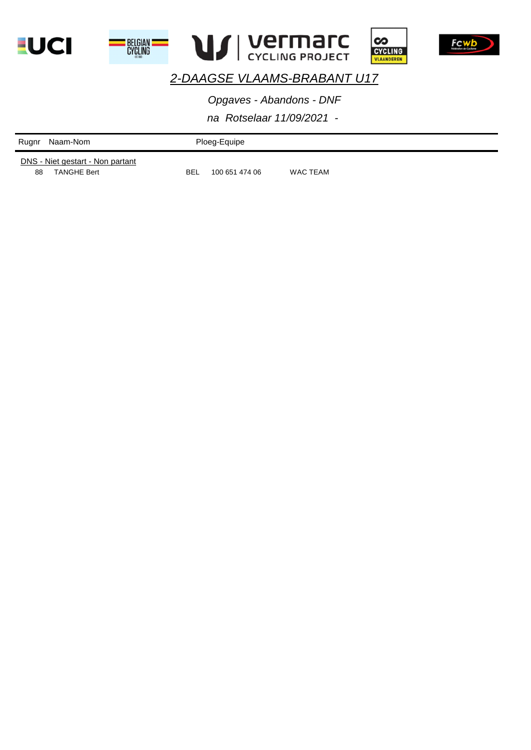









*Opgaves - Abandons - DNF*

*na Rotselaar 11/09/2021 -* 

| Naam-Nom<br>Rugnr                | Ploeg-Equipe |
|----------------------------------|--------------|
| DNS - Niet gestart - Non partant |              |

88 TANGHE Bert BEL 100 651 474 06 WAC TEAM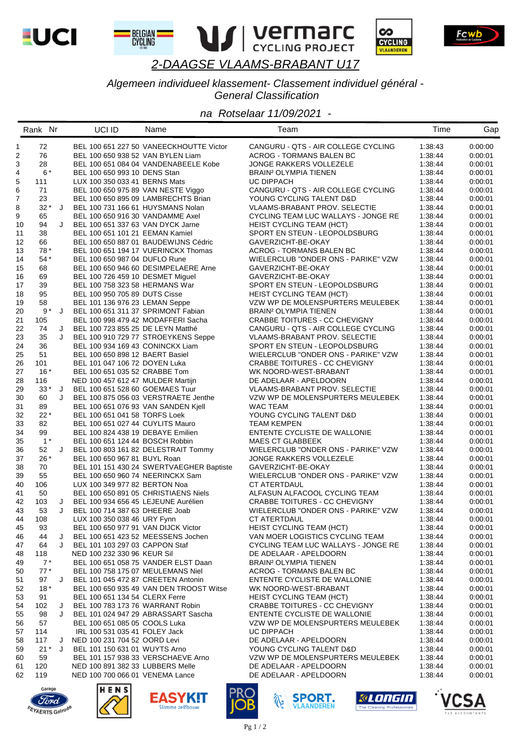

BELGIAN <mark>!</mark><br>Cycling





Fcwb

# *2-DAAGSE VLAAMS-BRABANT U17*

## *Algemeen individueel klassement- Classement individuel général - General Classification*

## *na Rotselaar 11/09/2021 -*

|                         | Rank Nr      | UCI ID                              | Name                                     | Team                                    | Time    | Gap     |
|-------------------------|--------------|-------------------------------------|------------------------------------------|-----------------------------------------|---------|---------|
| $\mathbf{1}$            | 72           |                                     | BEL 100 651 227 50 VANEECKHOUTTE Victor  | CANGURU - QTS - AIR COLLEGE CYCLING     | 1:38:43 | 0:00:00 |
| $\overline{\mathbf{c}}$ | 76           | BEL 100 650 938 52 VAN BYLEN Liam   |                                          | ACROG - TORMANS BALEN BC                | 1:38:44 | 0:00:01 |
| 3                       | 28           |                                     | BEL 100 651 084 04 VANDENABEELE Kobe     | JONGE RAKKERS VOLLEZELE                 | 1:38:44 | 0:00:01 |
| 4                       | $6*$         | BEL 100 650 993 10 DENS Stan        |                                          | <b>BRAIN<sup>2</sup> OLYMPIA TIENEN</b> | 1:38:44 | 0:00:01 |
| 5                       | 111          | LUX 100 350 033 41 BERNS Mats       |                                          | UC DIPPACH                              | 1:38:44 | 0:00:01 |
| 6                       | 71           | BEL 100 650 975 89 VAN NESTE Viggo  |                                          | CANGURU - QTS - AIR COLLEGE CYCLING     | 1:38:44 | 0:00:01 |
| $\overline{7}$          | 23           |                                     | BEL 100 650 895 09 LAMBRECHTS Brian      | YOUNG CYCLING TALENT D&D                | 1:38:44 | 0:00:01 |
| 8                       | $32*$<br>. J | BEL 100 731 166 61 HUYSMANS Nolan   |                                          | <b>VLAAMS-BRABANT PROV. SELECTIE</b>    | 1:38:44 | 0:00:01 |
| 9                       | 65           | BEL 100 650 916 30 VANDAMME Axel    |                                          | CYCLING TEAM LUC WALLAYS - JONGE RE     | 1:38:44 | 0:00:01 |
| 10                      | 94<br>J      | BEL 100 651 337 63 VAN DYCK Jarne   |                                          | HEIST CYCLING TEAM (HCT)                | 1:38:44 | 0:00:01 |
| 11                      | 38           | BEL 100 651 101 21 EEMAN Kamiel     |                                          | SPORT EN STEUN - LEOPOLDSBURG           | 1:38:44 | 0:00:01 |
| 12                      | 66           |                                     | BEL 100 650 887 01 BAUDEWIJNS Cédric     | GAVERZICHT-BE-OKAY                      | 1:38:44 | 0:00:01 |
| 13                      | 78 *         |                                     | BEL 100 651 194 17 VUERINCKX Thomas      | ACROG - TORMANS BALEN BC                | 1:38:44 | 0:00:01 |
| 14                      | $54*$        | BEL 100 650 987 04 DUFLO Rune       |                                          | WIELERCLUB "ONDER ONS - PARIKE" VZW     | 1:38:44 | 0:00:01 |
| 15                      | 68           |                                     | BEL 100 650 946 60 DESIMPELAERE Arne     | GAVERZICHT-BE-OKAY                      | 1:38:44 | 0:00:01 |
| 16                      | 69           | BEL 100 726 459 10 DESMET Miguel    |                                          | GAVERZICHT-BE-OKAY                      | 1:38:44 | 0:00:01 |
|                         | 39           |                                     |                                          |                                         |         |         |
| 17                      | 95           | BEL 100 758 323 58 HERMANS War      |                                          | SPORT EN STEUN - LEOPOLDSBURG           | 1:38:44 | 0:00:01 |
| 18                      |              | BEL 100 950 705 89 DUTS Cisse       |                                          | <b>HEIST CYCLING TEAM (HCT)</b>         | 1:38:44 | 0:00:01 |
| 19                      | 58           | BEL 101 136 976 23 LEMAN Seppe      |                                          | VZW WP DE MOLENSPURTERS MEULEBEK        | 1:38:44 | 0:00:01 |
| 20                      | $9*$<br>J    | BEL 100 651 311 37 SPRIMONT Fabian  |                                          | <b>BRAIN<sup>2</sup> OLYMPIA TIENEN</b> | 1:38:44 | 0:00:01 |
| 21                      | 105          |                                     | BEL 100 998 479 42 MODAFFERI Sacha       | CRABBE TOITURES - CC CHEVIGNY           | 1:38:44 | 0:00:01 |
| 22                      | 74<br>J      | BEL 100 723 855 25 DE LEYN Matthé   |                                          | CANGURU - QTS - AIR COLLEGE CYCLING     | 1:38:44 | 0:00:01 |
| 23                      | 35<br>J      |                                     | BEL 100 910 729 77 STROEYKENS Seppe      | VLAAMS-BRABANT PROV. SELECTIE           | 1:38:44 | 0:00:01 |
| 24                      | 36           | BEL 100 934 169 43 CONINCKX Liam    |                                          | SPORT EN STEUN - LEOPOLDSBURG           | 1:38:44 | 0:00:01 |
| 25                      | 51           | BEL 100 650 898 12 BAERT Basiel     |                                          | WIELERCLUB "ONDER ONS - PARIKE" VZW     | 1:38:44 | 0:00:01 |
| 26                      | 101          | BEL 101 047 106 72 DOYEN Luka       |                                          | CRABBE TOITURES - CC CHEVIGNY           | 1:38:44 | 0:00:01 |
| 27                      | $16*$        | BEL 100 651 035 52 CRABBE Tom       |                                          | WK NOORD-WEST-BRABANT                   | 1:38:44 | 0:00:01 |
| 28                      | 116          | NED 100 457 612 47 MULDER Martijn   |                                          | DE ADELAAR - APELDOORN                  | 1:38:44 | 0:00:01 |
| 29                      | $33*$<br>J   | BEL 100 651 528 60 GOEMAES Tuur     |                                          | <b>VLAAMS-BRABANT PROV. SELECTIE</b>    | 1:38:44 | 0:00:01 |
| 30                      | 60<br>J      |                                     | BEL 100 875 056 03 VERSTRAETE Jenthe     | VZW WP DE MOLENSPURTERS MEULEBEK        | 1:38:44 | 0:00:01 |
| 31                      | 89           | BEL 100 651 076 93 VAN SANDEN Kjell |                                          | <b>WAC TEAM</b>                         | 1:38:44 | 0:00:01 |
| 32                      | $22*$        | BEL 100 651 041 58 TORFS Loek       |                                          | YOUNG CYCLING TALENT D&D                | 1:38:44 | 0:00:01 |
| 33                      | 82           | BEL 100 651 027 44 CUYLITS Mauro    |                                          | <b>TEAM KEMPEN</b>                      | 1:38:44 | 0:00:01 |
| 34                      | 99           | BEL 100 824 438 19 DEBAYE Emilien   |                                          | ENTENTE CYCLISTE DE WALLONIE            | 1:38:44 | 0:00:01 |
| 35                      | $1^*$        | BEL 100 651 124 44 BOSCH Robbin     |                                          | <b>MAES CT GLABBEEK</b>                 | 1:38:44 | 0:00:01 |
| 36                      | 52<br>J      |                                     | BEL 100 803 161 82 DELESTRAIT Tommy      | WIELERCLUB "ONDER ONS - PARIKE" VZW     | 1:38:44 | 0:00:01 |
| 37                      | $26*$        | BEL 100 650 967 81 BUYL Roan        |                                          | <b>JONGE RAKKERS VOLLEZELE</b>          | 1:38:44 | 0:00:01 |
| 38                      | 70           |                                     | BEL 101 151 430 24 SWERTVAEGHER Baptiste | GAVERZICHT-BE-OKAY                      | 1:38:44 | 0:00:01 |
| 39                      | 55           | BEL 100 650 960 74 NEERINCKX Sam    |                                          | WIELERCLUB "ONDER ONS - PARIKE" VZW     | 1:38:44 | 0:00:01 |
| 40                      | 106          | LUX 100 349 977 82 BERTON Noa       |                                          | <b>CT ATERTDAUL</b>                     | 1:38:44 | 0:00:01 |
| 41                      | 50           |                                     | BEL 100 650 891 05 CHRISTIAENS Niels     | ALFASUN ALFACOOL CYCLING TEAM           | 1:38:44 | 0:00:01 |
| 42                      | 103<br>J     | BEL 100 934 656 45 LEJEUNE Aurélien |                                          | CRABBE TOITURES - CC CHEVIGNY           | 1:38:44 | 0:00:01 |
| 43                      | 53<br>J      | BEL 100 714 387 63 DHEERE Joab      |                                          | WIELERCLUB "ONDER ONS - PARIKE" VZW     | 1:38:44 | 0:00:01 |
| 44                      | 108          | LUX 100 350 038 46 URY Fynn         |                                          | <b>CT ATERTDAUL</b>                     | 1:38:44 | 0:00:01 |
| 45                      | 93           | BEL 100 650 977 91 VAN DIJCK Victor |                                          | <b>HEIST CYCLING TEAM (HCT)</b>         | 1:38:44 | 0:00:01 |
| 46                      | 44<br>J      |                                     | BEL 100 651 423 52 MEESSENS Jochen       | VAN MOER LOGISTICS CYCLING TEAM         | 1:38:44 | 0:00:01 |
| 47                      | 64<br>J      | BEL 101 103 297 03 CAPPON Staf      |                                          | CYCLING TEAM LUC WALLAYS - JONGE RE     | 1:38:44 | 0:00:01 |
| 48                      | 118          | NED 100 232 330 96 KEUR Sil         |                                          | DE ADELAAR - APELDOORN                  | 1:38:44 | 0:00:01 |
| 49                      | $7*$         |                                     | BEL 100 651 058 75 VANDER ELST Daan      | <b>BRAIN<sup>2</sup> OLYMPIA TIENEN</b> | 1:38:44 | 0:00:01 |
| 50                      | $77*$        | BEL 100 758 175 07 MEULEMANS Niel   |                                          | ACROG - TORMANS BALEN BC                | 1:38:44 | 0:00:01 |
| 51                      | 97<br>J      | BEL 101 045 472 87 CREETEN Antonin  |                                          | ENTENTE CYCLISTE DE WALLONIE            | 1:38:44 | 0:00:01 |
| 52                      | $18*$        |                                     | BEL 100 650 935 49 VAN DEN TROOST Witse  | WK NOORD-WEST-BRABANT                   | 1:38:44 | 0:00:01 |
| 53                      | 91           | BEL 100 651 134 54 CLERX Ferre      |                                          | <b>HEIST CYCLING TEAM (HCT)</b>         | 1:38:44 | 0:00:01 |
| 54                      | 102<br>J     | BEL 100 783 173 76 WARRANT Robin    |                                          | CRABBE TOITURES - CC CHEVIGNY           | 1:38:44 | 0:00:01 |
| 55                      | 98<br>J      |                                     | BEL 101 024 947 29 ABRASSART Sascha      | ENTENTE CYCLISTE DE WALLONIE            | 1:38:44 | 0:00:01 |
| 56                      | 57           | BEL 100 651 085 05 COOLS Luka       |                                          | VZW WP DE MOLENSPURTERS MEULEBEK        | 1:38:44 | 0:00:01 |
| 57                      | 114          | IRL 100 531 035 41 FOLEY Jack       |                                          | UC DIPPACH                              | 1:38:44 | 0:00:01 |
| 58                      | 117<br>J     | NED 100 231 704 52 OORD Levi        |                                          | DE ADELAAR - APELDOORN                  | 1:38:44 | 0:00:01 |
| 59                      | $21*$<br>J   | BEL 101 150 631 01 WUYTS Arno       |                                          | YOUNG CYCLING TALENT D&D                | 1:38:44 | 0:00:01 |
| 60                      | 59           |                                     | BEL 101 157 938 33 VERSCHAEVE Arno       | VZW WP DE MOLENSPURTERS MEULEBEK        | 1:38:44 | 0:00:01 |
| 61                      | 120          | NED 100 891 382 33 LUBBERS Melle    |                                          | DE ADELAAR - APELDOORN                  | 1:38:44 | 0:00:01 |
| 62                      | 119          | NED 100 700 066 01 VENEMA Lance     |                                          | DE ADELAAR - APELDOORN                  | 1:38:44 | 0:00:01 |
|                         |              |                                     |                                          |                                         |         |         |
|                         |              |                                     |                                          |                                         |         |         |







e zelfboi





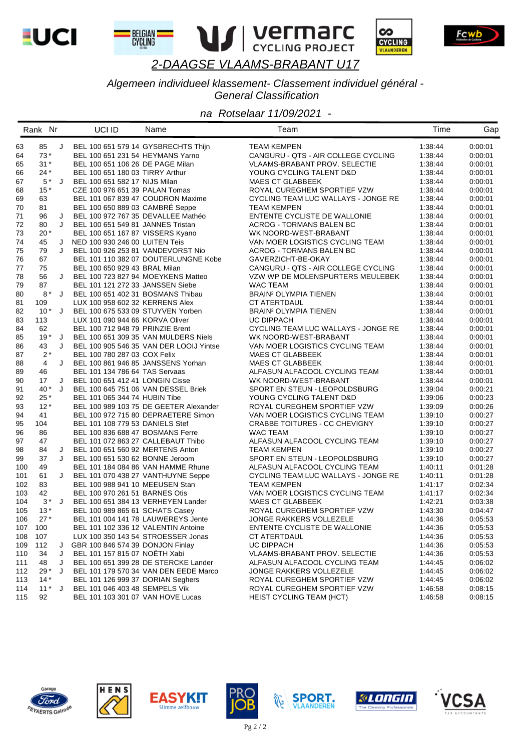

BELGIAN <mark>!</mark><br>Cycling





Fcwb

# *2-DAAGSE VLAAMS-BRABANT U17*

## *Algemeen individueel klassement- Classement individuel général - General Classification*

|     | Rank Nr       |   | UCI ID                              | Name                                    | Team                                 | Time    | Gap     |
|-----|---------------|---|-------------------------------------|-----------------------------------------|--------------------------------------|---------|---------|
| 63  | 85            | J |                                     | BEL 100 651 579 14 GYSBRECHTS Thijn     | <b>TEAM KEMPEN</b>                   | 1:38:44 | 0:00:01 |
| 64  | $73*$         |   | BEL 100 651 231 54 HEYMANS Yarno    |                                         | CANGURU - QTS - AIR COLLEGE CYCLING  | 1:38:44 | 0:00:01 |
| 65  | $31*$         |   | BEL 100 651 106 26 DE PAGE Milan    |                                         | <b>VLAAMS-BRABANT PROV. SELECTIE</b> | 1:38:44 | 0:00:01 |
| 66  | $24*$         |   | BEL 100 651 180 03 TIRRY Arthur     |                                         | YOUNG CYCLING TALENT D&D             | 1:38:44 | 0:00:01 |
| 67  | $5*$          | J | BEL 100 651 582 17 NIJS Milan       |                                         | <b>MAES CT GLABBEEK</b>              | 1:38:44 | 0:00:01 |
| 68  | $15*$         |   | CZE 100 976 651 39 PALAN Tomas      |                                         | ROYAL CUREGHEM SPORTIEF VZW          | 1:38:44 | 0:00:01 |
| 69  | 63            |   | BEL 101 067 839 47 COUDRON Maxime   |                                         | CYCLING TEAM LUC WALLAYS - JONGE RE  | 1:38:44 | 0:00:01 |
| 70  | 81            |   | BEL 100 650 889 03 CAMBRÉ Seppe     |                                         | <b>TEAM KEMPEN</b>                   | 1:38:44 | 0:00:01 |
| 71  | 96            | J | BEL 100 972 767 35 DEVALLEE Mathéo  |                                         | ENTENTE CYCLISTE DE WALLONIE         | 1:38:44 | 0:00:01 |
| 72  | 80            | J | BEL 100 651 549 81 JANNES Tristan   |                                         | ACROG - TORMANS BALEN BC             | 1:38:44 | 0:00:01 |
| 73  | $20*$         |   | BEL 100 651 167 87 VISSERS Kyano    |                                         | WK NOORD-WEST-BRABANT                | 1:38:44 | 0:00:01 |
| 74  | 45            | J | NED 100 930 246 00 LUITEN Teis      |                                         | VAN MOER LOGISTICS CYCLING TEAM      | 1:38:44 | 0:00:01 |
| 75  | 79            | J | BEL 100 926 253 81 VANDEVORST Nio   |                                         | ACROG - TORMANS BALEN BC             | 1:38:44 | 0:00:01 |
| 76  | 67            |   |                                     | BEL 101 110 382 07 DOUTERLUNGNE Kobe    | GAVERZICHT-BE-OKAY                   | 1:38:44 | 0:00:01 |
| 77  | 75            |   | BEL 100 650 929 43 BRAL Milan       |                                         | CANGURU - QTS - AIR COLLEGE CYCLING  | 1:38:44 | 0:00:01 |
| 78  | 56            | J | BEL 100 723 827 94 MOEYKENS Matteo  |                                         | VZW WP DE MOLENSPURTERS MEULEBEK     | 1:38:44 | 0:00:01 |
| 79  | 87            |   | BEL 101 121 272 33 JANSSEN Siebe    |                                         | <b>WAC TEAM</b>                      | 1:38:44 | 0:00:01 |
| 80  | $8*J$         |   | BEL 100 651 402 31 BOSMANS Thibau   |                                         | BRAIN <sup>2</sup> OLYMPIA TIENEN    | 1:38:44 | 0:00:01 |
| 81  | 109           |   | LUX 100 958 602 32 KERRENS Alex     |                                         | <b>CT ATERTDAUL</b>                  | 1:38:44 | 0:00:01 |
| 82  | $10^*$ J      |   | BEL 100 675 533 09 STUYVEN Yorben   |                                         | BRAIN <sup>2</sup> OLYMPIA TIENEN    | 1:38:44 | 0:00:01 |
| 83  | 113           |   | LUX 101 090 944 66 KORVA Oliver     |                                         | UC DIPPACH                           | 1:38:44 | 0:00:01 |
| 84  | 62            |   | BEL 100 712 948 79 PRINZIE Brent    |                                         | CYCLING TEAM LUC WALLAYS - JONGE RE  | 1:38:44 | 0:00:01 |
| 85  | $19*$ J       |   |                                     | BEL 100 651 309 35 VAN MULDERS Niels    | WK NOORD-WEST-BRABANT                | 1:38:44 | 0:00:01 |
| 86  | 43            | J |                                     | BEL 100 905 546 35 VAN DER LOOIJ Yintse | VAN MOER LOGISTICS CYCLING TEAM      | 1:38:44 | 0:00:01 |
| 87  | $2\,^{\star}$ |   | BEL 100 780 287 03 COX Felix        |                                         | <b>MAES CT GLABBEEK</b>              | 1:38:44 | 0:00:01 |
| 88  | 4             | J | BEL 100 861 946 85 JANSSENS Yorhan  |                                         | <b>MAES CT GLABBEEK</b>              | 1:38:44 | 0:00:01 |
| 89  | 46            |   | BEL 101 134 786 64 TAS Servaas      |                                         | ALFASUN ALFACOOL CYCLING TEAM        | 1.38:44 | 0:00:01 |
| 90  | 17            | J | BEL 100 651 412 41 LONGIN Cisse     |                                         | WK NOORD-WEST-BRABANT                | 1:38:44 | 0:00:01 |
| 91  | $40*$         | J | BEL 100 645 751 06 VAN DESSEL Briek |                                         | SPORT EN STEUN - LEOPOLDSBURG        | 1:39:04 | 0:00:21 |
| 92  | 25 *          |   | BEL 101 065 344 74 HUBIN Tibe       |                                         | YOUNG CYCLING TALENT D&D             | 1:39:06 | 0:00:23 |
| 93  | $12*$         |   |                                     | BEL 100 989 103 75 DE GEETER Alexander  | ROYAL CUREGHEM SPORTIEF VZW          | 1:39:09 | 0.00:26 |
| 94  | 41            |   |                                     | BEL 100 972 715 80 DEPRAETERE Simon     | VAN MOER LOGISTICS CYCLING TEAM      | 1:39:10 | 0:00:27 |
| 95  | 104           |   | BEL 101 108 779 53 DANIELS Stef     |                                         | CRABBE TOITURES - CC CHEVIGNY        | 1:39:10 | 0:00:27 |
| 96  | 86            |   | BEL 100 836 688 47 BOSMANS Ferre    |                                         | <b>WAC TEAM</b>                      | 1:39:10 | 0:00:27 |
| 97  | 47            |   | BEL 101 072 863 27 CALLEBAUT Thibo  |                                         | ALFASUN ALFACOOL CYCLING TEAM        | 1:39:10 | 0:00:27 |
| 98  | 84            | J | BEL 100 651 560 92 MERTENS Anton    |                                         | <b>TEAM KEMPEN</b>                   | 1:39:10 | 0:00:27 |
| 99  | 37            | J | BEL 100 651 530 62 BONNE Jeroom     |                                         | SPORT EN STEUN - LEOPOLDSBURG        | 1:39:10 | 0:00:27 |
| 100 | 49            |   |                                     | BEL 101 184 084 86 VAN HAMME Rhune      | ALFASUN ALFACOOL CYCLING TEAM        | 1:40:11 | 0:01:28 |
| 101 | 61            | J |                                     | BEL 101 070 438 27 VANTHUYNE Seppe      | CYCLING TEAM LUC WALLAYS - JONGE RE  | 1:40:11 | 0:01:28 |
| 102 | 83            |   | BEL 100 988 941 10 MEEUSEN Stan     |                                         | <b>TEAM KEMPEN</b>                   | 1:41:17 | 0:02:34 |
| 103 | 42            |   | BEL 100 970 261 51 BARNES Otis      |                                         | VAN MOER LOGISTICS CYCLING TEAM      | 1:41:17 | 0:02:34 |
| 104 | $3^*$         | J | BEL 100 651 384 13 VERHEYEN Lander  |                                         | <b>MAES CT GLABBEEK</b>              | 1:42:21 | 0:03:38 |
| 105 | $13*$         |   | BEL 100 989 865 61 SCHATS Casey     |                                         | ROYAL CUREGHEM SPORTIEF VZW          | 1:43:30 | 0:04:47 |
| 106 | $27*$         |   | BEL 101 004 141 78 LAUWEREYS Jente  |                                         | <b>JONGE RAKKERS VOLLEZELE</b>       | 1:44:36 | 0:05:53 |
| 107 | 100           |   | BEL 101 102 336 12 VALENTIN Antoine |                                         | ENTENTE CYCLISTE DE WALLONIE         | 1:44:36 | 0:05:53 |
| 108 | 107           |   | LUX 100 350 143 54 STROESSER Jonas  |                                         | CT ATERTDAUL                         | 1:44:36 | 0:05:53 |
| 109 | 112           | J | GBR 100 846 574 39 DONJON Finlay    |                                         | UC DIPPACH                           | 1:44:36 | 0.05.53 |
| 110 | 34            | J | BEL 101 157 815 07 NOËTH Xabi       |                                         | <b>VLAAMS-BRABANT PROV. SELECTIE</b> | 1:44:36 | 0:05:53 |
| 111 | 48            | J |                                     | BEL 100 651 399 28 DE STERCKE Lander    | ALFASUN ALFACOOL CYCLING TEAM        | 1:44:45 | 0:06:02 |
| 112 | $29*$         | J |                                     | BEL 101 179 570 34 VAN DEN EEDE Marco   | <b>JONGE RAKKERS VOLLEZELE</b>       | 1:44:45 | 0:06:02 |
| 113 | $14*$         |   | BEL 101 126 999 37 DORIAN Seghers   |                                         | ROYAL CUREGHEM SPORTIEF VZW          | 1:44:45 | 0:06:02 |
| 114 | $11*$ J       |   | BEL 101 046 403 48 SEMPELS Vik      |                                         | ROYAL CUREGHEM SPORTIEF VZW          | 1:46:58 | 0:08:15 |
| 115 | 92            |   | BEL 101 103 301 07 VAN HOVE Lucas   |                                         | <b>HEIST CYCLING TEAM (HCT)</b>      | 1:46:58 | 0.08:15 |
|     |               |   |                                     |                                         |                                      |         |         |













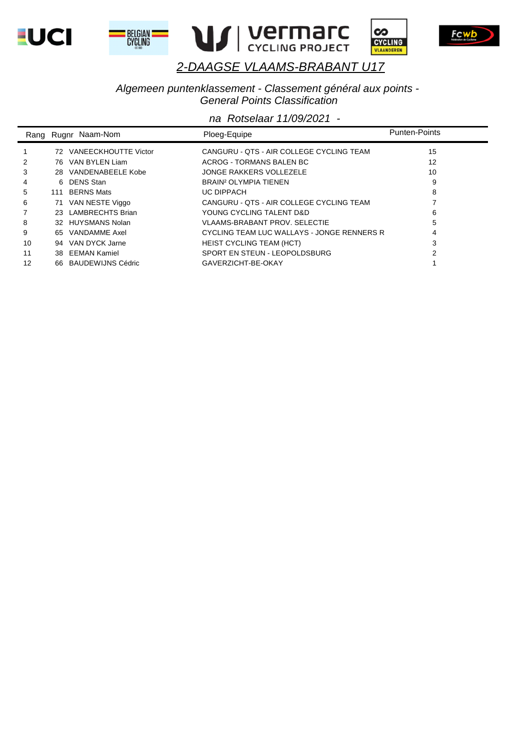









## *Algemeen puntenklassement - Classement général aux points - General Points Classification*

|    | <b>Punten-Points</b><br>Rang Rugnr Naam-Nom<br>Ploeg-Equipe |                         |                                            |    |  |
|----|-------------------------------------------------------------|-------------------------|--------------------------------------------|----|--|
|    |                                                             | 72 VANEECKHOUTTE Victor | CANGURU - QTS - AIR COLLEGE CYCLING TEAM   | 15 |  |
|    |                                                             | 76 VAN BYLEN Liam       | ACROG - TORMANS BALEN BC                   | 12 |  |
| 3  |                                                             | 28 VANDENABEELE Kobe    | JONGE RAKKERS VOLLEZELE                    | 10 |  |
| 4  |                                                             | 6 DENS Stan             | BRAIN <sup>2</sup> OLYMPIA TIENEN          | 9  |  |
| 5  | 111                                                         | <b>BERNS Mats</b>       | <b>UC DIPPACH</b>                          | 8  |  |
| 6  | 71                                                          | VAN NESTE Viggo         | CANGURU - OTS - AIR COLLEGE CYCLING TEAM   |    |  |
|    |                                                             | 23 LAMBRECHTS Brian     | YOUNG CYCLING TALENT D&D                   | 6  |  |
| 8  |                                                             | 32 HUYSMANS Nolan       | <b>VLAAMS-BRABANT PROV. SELECTIE</b>       | 5  |  |
| 9  |                                                             | 65 VANDAMME Axel        | CYCLING TEAM LUC WALLAYS - JONGE RENNERS R |    |  |
| 10 |                                                             | 94 VAN DYCK Jarne       | <b>HEIST CYCLING TEAM (HCT)</b>            |    |  |
| 11 | 38                                                          | EEMAN Kamiel            | SPORT EN STEUN - LEOPOLDSBURG              |    |  |
| 12 | 66.                                                         | BAUDEWIJNS Cédric       | GAVERZICHT-BE-OKAY                         |    |  |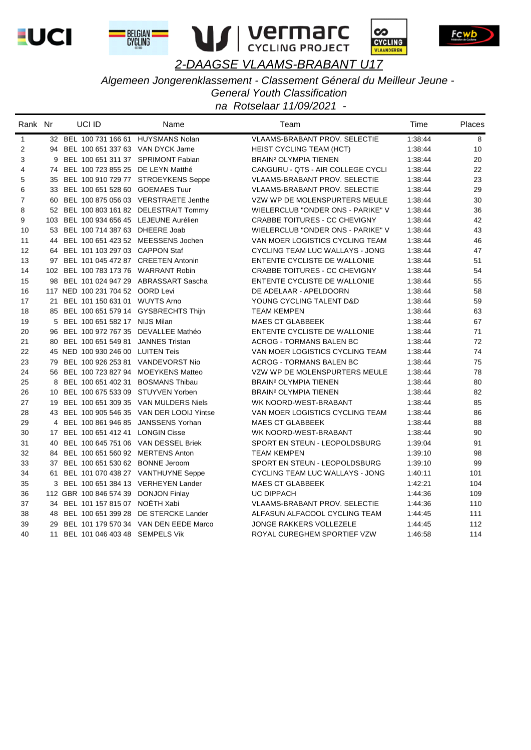







Fcwb

# 2-DAAGSE VLAAMS-BRABANT U17

Algemeen Jongerenklassement - Classement Géneral du Meilleur Jeune -

**General Youth Classification** 

| Rank Nr | UCI ID | Name | Team                                                                                                                                                                                                                                                                                                                                                                                                                                                                                                                                                                                                                                                                                                                                                                                                                                                                                                                                                                                                                                                                                                                                                                                                                                                                                                                                                                                                                                                                                                                                                                                                                                                         | Time    | Places |
|---------|--------|------|--------------------------------------------------------------------------------------------------------------------------------------------------------------------------------------------------------------------------------------------------------------------------------------------------------------------------------------------------------------------------------------------------------------------------------------------------------------------------------------------------------------------------------------------------------------------------------------------------------------------------------------------------------------------------------------------------------------------------------------------------------------------------------------------------------------------------------------------------------------------------------------------------------------------------------------------------------------------------------------------------------------------------------------------------------------------------------------------------------------------------------------------------------------------------------------------------------------------------------------------------------------------------------------------------------------------------------------------------------------------------------------------------------------------------------------------------------------------------------------------------------------------------------------------------------------------------------------------------------------------------------------------------------------|---------|--------|
|         |        |      | <b>VLAAMS-BRABANT PROV. SELECTIE</b>                                                                                                                                                                                                                                                                                                                                                                                                                                                                                                                                                                                                                                                                                                                                                                                                                                                                                                                                                                                                                                                                                                                                                                                                                                                                                                                                                                                                                                                                                                                                                                                                                         | 1:38:44 | 8      |
|         |        |      | HEIST CYCLING TEAM (HCT)                                                                                                                                                                                                                                                                                                                                                                                                                                                                                                                                                                                                                                                                                                                                                                                                                                                                                                                                                                                                                                                                                                                                                                                                                                                                                                                                                                                                                                                                                                                                                                                                                                     | 1:38:44 | 10     |
|         |        |      | <b>BRAIN<sup>2</sup> OLYMPIA TIENEN</b>                                                                                                                                                                                                                                                                                                                                                                                                                                                                                                                                                                                                                                                                                                                                                                                                                                                                                                                                                                                                                                                                                                                                                                                                                                                                                                                                                                                                                                                                                                                                                                                                                      | 1:38:44 | 20     |
|         |        |      | CANGURU - QTS - AIR COLLEGE CYCLI                                                                                                                                                                                                                                                                                                                                                                                                                                                                                                                                                                                                                                                                                                                                                                                                                                                                                                                                                                                                                                                                                                                                                                                                                                                                                                                                                                                                                                                                                                                                                                                                                            | 1:38:44 | 22     |
|         |        |      | <b>VLAAMS-BRABANT PROV. SELECTIE</b>                                                                                                                                                                                                                                                                                                                                                                                                                                                                                                                                                                                                                                                                                                                                                                                                                                                                                                                                                                                                                                                                                                                                                                                                                                                                                                                                                                                                                                                                                                                                                                                                                         | 1:38:44 | 23     |
|         |        |      | <b>VLAAMS-BRABANT PROV. SELECTIE</b>                                                                                                                                                                                                                                                                                                                                                                                                                                                                                                                                                                                                                                                                                                                                                                                                                                                                                                                                                                                                                                                                                                                                                                                                                                                                                                                                                                                                                                                                                                                                                                                                                         | 1:38:44 | 29     |
|         |        |      | VZW WP DE MOLENSPURTERS MEULE                                                                                                                                                                                                                                                                                                                                                                                                                                                                                                                                                                                                                                                                                                                                                                                                                                                                                                                                                                                                                                                                                                                                                                                                                                                                                                                                                                                                                                                                                                                                                                                                                                | 1.38.44 | 30     |
|         |        |      | WIELERCLUB "ONDER ONS - PARIKE" V                                                                                                                                                                                                                                                                                                                                                                                                                                                                                                                                                                                                                                                                                                                                                                                                                                                                                                                                                                                                                                                                                                                                                                                                                                                                                                                                                                                                                                                                                                                                                                                                                            | 1:38:44 | 36     |
|         |        |      | <b>CRABBE TOITURES - CC CHEVIGNY</b>                                                                                                                                                                                                                                                                                                                                                                                                                                                                                                                                                                                                                                                                                                                                                                                                                                                                                                                                                                                                                                                                                                                                                                                                                                                                                                                                                                                                                                                                                                                                                                                                                         | 1:38:44 | 42     |
|         |        |      | WIELERCLUB "ONDER ONS - PARIKE" V                                                                                                                                                                                                                                                                                                                                                                                                                                                                                                                                                                                                                                                                                                                                                                                                                                                                                                                                                                                                                                                                                                                                                                                                                                                                                                                                                                                                                                                                                                                                                                                                                            | 1:38:44 | 43     |
|         |        |      | VAN MOER LOGISTICS CYCLING TEAM                                                                                                                                                                                                                                                                                                                                                                                                                                                                                                                                                                                                                                                                                                                                                                                                                                                                                                                                                                                                                                                                                                                                                                                                                                                                                                                                                                                                                                                                                                                                                                                                                              | 1:38:44 | 46     |
|         |        |      | CYCLING TEAM LUC WALLAYS - JONG                                                                                                                                                                                                                                                                                                                                                                                                                                                                                                                                                                                                                                                                                                                                                                                                                                                                                                                                                                                                                                                                                                                                                                                                                                                                                                                                                                                                                                                                                                                                                                                                                              | 1:38:44 | 47     |
|         |        |      | ENTENTE CYCLISTE DE WALLONIE                                                                                                                                                                                                                                                                                                                                                                                                                                                                                                                                                                                                                                                                                                                                                                                                                                                                                                                                                                                                                                                                                                                                                                                                                                                                                                                                                                                                                                                                                                                                                                                                                                 | 1:38:44 | 51     |
|         |        |      | <b>CRABBE TOITURES - CC CHEVIGNY</b>                                                                                                                                                                                                                                                                                                                                                                                                                                                                                                                                                                                                                                                                                                                                                                                                                                                                                                                                                                                                                                                                                                                                                                                                                                                                                                                                                                                                                                                                                                                                                                                                                         | 1:38:44 | 54     |
|         |        |      | ENTENTE CYCLISTE DE WALLONIE                                                                                                                                                                                                                                                                                                                                                                                                                                                                                                                                                                                                                                                                                                                                                                                                                                                                                                                                                                                                                                                                                                                                                                                                                                                                                                                                                                                                                                                                                                                                                                                                                                 | 1:38:44 | 55     |
|         |        |      | DE ADELAAR - APELDOORN                                                                                                                                                                                                                                                                                                                                                                                                                                                                                                                                                                                                                                                                                                                                                                                                                                                                                                                                                                                                                                                                                                                                                                                                                                                                                                                                                                                                                                                                                                                                                                                                                                       | 1:38:44 | 58     |
|         |        |      | YOUNG CYCLING TALENT D&D                                                                                                                                                                                                                                                                                                                                                                                                                                                                                                                                                                                                                                                                                                                                                                                                                                                                                                                                                                                                                                                                                                                                                                                                                                                                                                                                                                                                                                                                                                                                                                                                                                     | 1:38:44 | 59     |
|         |        |      | <b>TEAM KEMPEN</b>                                                                                                                                                                                                                                                                                                                                                                                                                                                                                                                                                                                                                                                                                                                                                                                                                                                                                                                                                                                                                                                                                                                                                                                                                                                                                                                                                                                                                                                                                                                                                                                                                                           | 1:38:44 | 63     |
|         |        |      | <b>MAES CT GLABBEEK</b>                                                                                                                                                                                                                                                                                                                                                                                                                                                                                                                                                                                                                                                                                                                                                                                                                                                                                                                                                                                                                                                                                                                                                                                                                                                                                                                                                                                                                                                                                                                                                                                                                                      | 1:38:44 | 67     |
|         |        |      | ENTENTE CYCLISTE DE WALLONIE                                                                                                                                                                                                                                                                                                                                                                                                                                                                                                                                                                                                                                                                                                                                                                                                                                                                                                                                                                                                                                                                                                                                                                                                                                                                                                                                                                                                                                                                                                                                                                                                                                 | 1.38:44 | 71     |
|         |        |      | <b>ACROG - TORMANS BALEN BC</b>                                                                                                                                                                                                                                                                                                                                                                                                                                                                                                                                                                                                                                                                                                                                                                                                                                                                                                                                                                                                                                                                                                                                                                                                                                                                                                                                                                                                                                                                                                                                                                                                                              | 1:38:44 | 72     |
|         |        |      | VAN MOER LOGISTICS CYCLING TEAM                                                                                                                                                                                                                                                                                                                                                                                                                                                                                                                                                                                                                                                                                                                                                                                                                                                                                                                                                                                                                                                                                                                                                                                                                                                                                                                                                                                                                                                                                                                                                                                                                              | 1:38:44 | 74     |
|         |        |      | <b>ACROG - TORMANS BALEN BC</b>                                                                                                                                                                                                                                                                                                                                                                                                                                                                                                                                                                                                                                                                                                                                                                                                                                                                                                                                                                                                                                                                                                                                                                                                                                                                                                                                                                                                                                                                                                                                                                                                                              | 1:38:44 | 75     |
|         |        |      | VZW WP DE MOLENSPURTERS MEULE                                                                                                                                                                                                                                                                                                                                                                                                                                                                                                                                                                                                                                                                                                                                                                                                                                                                                                                                                                                                                                                                                                                                                                                                                                                                                                                                                                                                                                                                                                                                                                                                                                | 1:38:44 | 78     |
|         |        |      | <b>BRAIN<sup>2</sup> OLYMPIA TIENEN</b>                                                                                                                                                                                                                                                                                                                                                                                                                                                                                                                                                                                                                                                                                                                                                                                                                                                                                                                                                                                                                                                                                                                                                                                                                                                                                                                                                                                                                                                                                                                                                                                                                      | 1:38:44 | 80     |
|         |        |      | <b>BRAIN<sup>2</sup> OLYMPIA TIENEN</b>                                                                                                                                                                                                                                                                                                                                                                                                                                                                                                                                                                                                                                                                                                                                                                                                                                                                                                                                                                                                                                                                                                                                                                                                                                                                                                                                                                                                                                                                                                                                                                                                                      | 1:38:44 | 82     |
|         |        |      | WK NOORD-WEST-BRABANT                                                                                                                                                                                                                                                                                                                                                                                                                                                                                                                                                                                                                                                                                                                                                                                                                                                                                                                                                                                                                                                                                                                                                                                                                                                                                                                                                                                                                                                                                                                                                                                                                                        | 1:38:44 | 85     |
|         |        |      | VAN MOER LOGISTICS CYCLING TEAM                                                                                                                                                                                                                                                                                                                                                                                                                                                                                                                                                                                                                                                                                                                                                                                                                                                                                                                                                                                                                                                                                                                                                                                                                                                                                                                                                                                                                                                                                                                                                                                                                              | 1:38:44 | 86     |
|         |        |      | <b>MAES CT GLABBEEK</b>                                                                                                                                                                                                                                                                                                                                                                                                                                                                                                                                                                                                                                                                                                                                                                                                                                                                                                                                                                                                                                                                                                                                                                                                                                                                                                                                                                                                                                                                                                                                                                                                                                      | 1:38:44 | 88     |
|         |        |      | WK NOORD-WEST-BRABANT                                                                                                                                                                                                                                                                                                                                                                                                                                                                                                                                                                                                                                                                                                                                                                                                                                                                                                                                                                                                                                                                                                                                                                                                                                                                                                                                                                                                                                                                                                                                                                                                                                        | 1:38:44 | 90     |
|         |        |      | SPORT EN STEUN - LEOPOLDSBURG                                                                                                                                                                                                                                                                                                                                                                                                                                                                                                                                                                                                                                                                                                                                                                                                                                                                                                                                                                                                                                                                                                                                                                                                                                                                                                                                                                                                                                                                                                                                                                                                                                | 1:39:04 | 91     |
|         |        |      | <b>TEAM KEMPEN</b>                                                                                                                                                                                                                                                                                                                                                                                                                                                                                                                                                                                                                                                                                                                                                                                                                                                                                                                                                                                                                                                                                                                                                                                                                                                                                                                                                                                                                                                                                                                                                                                                                                           | 1:39:10 | 98     |
|         |        |      | SPORT EN STEUN - LEOPOLDSBURG                                                                                                                                                                                                                                                                                                                                                                                                                                                                                                                                                                                                                                                                                                                                                                                                                                                                                                                                                                                                                                                                                                                                                                                                                                                                                                                                                                                                                                                                                                                                                                                                                                | 1:39:10 | 99     |
|         |        |      | CYCLING TEAM LUC WALLAYS - JONG                                                                                                                                                                                                                                                                                                                                                                                                                                                                                                                                                                                                                                                                                                                                                                                                                                                                                                                                                                                                                                                                                                                                                                                                                                                                                                                                                                                                                                                                                                                                                                                                                              | 1:40:11 | 101    |
|         |        |      | <b>MAES CT GLABBEEK</b>                                                                                                                                                                                                                                                                                                                                                                                                                                                                                                                                                                                                                                                                                                                                                                                                                                                                                                                                                                                                                                                                                                                                                                                                                                                                                                                                                                                                                                                                                                                                                                                                                                      | 1:42:21 | 104    |
|         |        |      | <b>UC DIPPACH</b>                                                                                                                                                                                                                                                                                                                                                                                                                                                                                                                                                                                                                                                                                                                                                                                                                                                                                                                                                                                                                                                                                                                                                                                                                                                                                                                                                                                                                                                                                                                                                                                                                                            | 1:44:36 | 109    |
|         |        |      | <b>VLAAMS-BRABANT PROV. SELECTIE</b>                                                                                                                                                                                                                                                                                                                                                                                                                                                                                                                                                                                                                                                                                                                                                                                                                                                                                                                                                                                                                                                                                                                                                                                                                                                                                                                                                                                                                                                                                                                                                                                                                         | 1:44:36 | 110    |
|         |        |      | ALFASUN ALFACOOL CYCLING TEAM                                                                                                                                                                                                                                                                                                                                                                                                                                                                                                                                                                                                                                                                                                                                                                                                                                                                                                                                                                                                                                                                                                                                                                                                                                                                                                                                                                                                                                                                                                                                                                                                                                | 1:44:45 | 111    |
|         |        |      | <b>JONGE RAKKERS VOLLEZELE</b>                                                                                                                                                                                                                                                                                                                                                                                                                                                                                                                                                                                                                                                                                                                                                                                                                                                                                                                                                                                                                                                                                                                                                                                                                                                                                                                                                                                                                                                                                                                                                                                                                               | 1.44.45 | 112    |
|         |        |      | ROYAL CUREGHEM SPORTIEF VZW                                                                                                                                                                                                                                                                                                                                                                                                                                                                                                                                                                                                                                                                                                                                                                                                                                                                                                                                                                                                                                                                                                                                                                                                                                                                                                                                                                                                                                                                                                                                                                                                                                  | 1:46:58 | 114    |
|         |        |      | 32 BEL 100 731 166 61 HUYSMANS Nolan<br>94 BEL 100 651 337 63 VAN DYCK Jarne<br>9 BEL 100 651 311 37 SPRIMONT Fabian<br>74 BEL 100 723 855 25 DE LEYN Matthé<br>35 BEL 100 910 729 77 STROEYKENS Seppe<br>33 BEL 100 651 528 60 GOEMAES Tuur<br>60 BEL 100 875 056 03 VERSTRAETE Jenthe<br>52 BEL 100 803 161 82 DELESTRAIT Tommy<br>103 BEL 100 934 656 45 LEJEUNE Aurélien<br>53 BEL 100 714 387 63 DHEERE Joab<br>44 BEL 100 651 423 52 MEESSENS Jochen<br>64 BEL 101 103 297 03 CAPPON Staf<br>97 BEL 101 045 472 87 CREETEN Antonin<br>102 BEL 100 783 173 76 WARRANT Robin<br>98 BEL 101 024 947 29 ABRASSART Sascha<br>117 NED 100 231 704 52 OORD Levi<br>21 BEL 101 150 631 01 WUYTS Arno<br>85 BEL 100 651 579 14 GYSBRECHTS Thijn<br>5 BEL 100 651 582 17 NIJS Milan<br>96 BEL 100 972 767 35 DEVALLEE Mathéo<br>80 BEL 100 651 549 81 JANNES Tristan<br>45 NED 100 930 246 00 LUITEN Teis<br>79 BEL 100 926 253 81 VANDEVORST Nio<br>56 BEL 100 723 827 94 MOEYKENS Matteo<br>8 BEL 100 651 402 31 BOSMANS Thibau<br>10 BEL 100 675 533 09 STUYVEN Yorben<br>19 BEL 100 651 309 35 VAN MULDERS Niels<br>43 BEL 100 905 546 35 VAN DER LOOIJ Yintse<br>4 BEL 100 861 946 85 JANSSENS Yorhan<br>17 BEL 100 651 412 41 LONGIN Cisse<br>40 BEL 100 645 751 06 VAN DESSEL Briek<br>84 BEL 100 651 560 92 MERTENS Anton<br>37 BEL 100 651 530 62 BONNE Jeroom<br>61 BEL 101 070 438 27 VANTHUYNE Seppe<br>3 BEL 100 651 384 13 VERHEYEN Lander<br>112 GBR 100 846 574 39 DONJON Finlay<br>34 BEL 101 157 815 07 NOËTH Xabi<br>48 BEL 100 651 399 28 DE STERCKE Lander<br>29 BEL 101 179 570 34 VAN DEN EEDE Marco<br>11 BEL 101 046 403 48 SEMPELS Vik |         |        |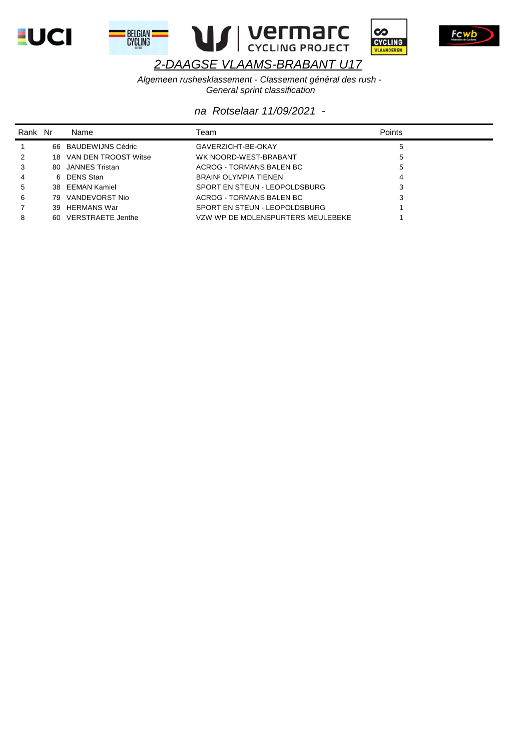









Algemeen rushesklassement - Classement général des rush -General sprint classification

| Rank Nr |     | Name                     | Team                              | <b>Points</b> |  |
|---------|-----|--------------------------|-----------------------------------|---------------|--|
|         |     | 66 BAUDEWIJNS Cédric     | GAVERZICHT-BE-OKAY                | 5             |  |
|         | 18  | VAN DEN TROOST Witse     | WK NOORD-WEST-BRABANT             | 5             |  |
| 3       |     | 80 JANNES Tristan        | ACROG - TORMANS BALEN BC          | 5             |  |
| 4       |     | 6 DENS Stan              | BRAIN <sup>2</sup> OLYMPIA TIENEN | 4             |  |
| 5       |     | 38 EEMAN Kamiel          | SPORT EN STEUN - LEOPOLDSBURG     | 3             |  |
| 6       | 79  | VANDEVORST Nio           | ACROG - TORMANS BALEN BC          | 3             |  |
|         | 39. | <b>HERMANS War</b>       | SPORT EN STEUN - LEOPOLDSBURG     |               |  |
| 8       | 60  | <b>VERSTRAETE Jenthe</b> | VZW WP DE MOLENSPURTERS MEULEBEKE |               |  |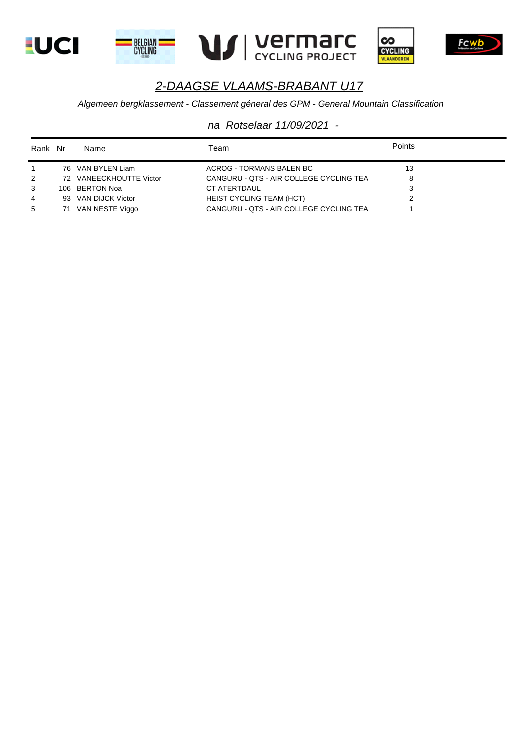









## *Algemeen bergklassement - Classement géneral des GPM - General Mountain Classification*

| Rank Nr | Name                    | Team                                    | <b>Points</b> |  |
|---------|-------------------------|-----------------------------------------|---------------|--|
|         | 76 VAN BYLEN Liam       | ACROG - TORMANS BALEN BC                | 13            |  |
| 2       | 72 VANEECKHOUTTE Victor | CANGURU - QTS - AIR COLLEGE CYCLING TEA | 8             |  |
| 3       | 106 BERTON Noa          | CT ATERTDAUL                            | 3             |  |
| 4       | 93 VAN DIJCK Victor     | <b>HEIST CYCLING TEAM (HCT)</b>         |               |  |
| 5       | 71 VAN NESTE Viggo      | CANGURU - QTS - AIR COLLEGE CYCLING TEA |               |  |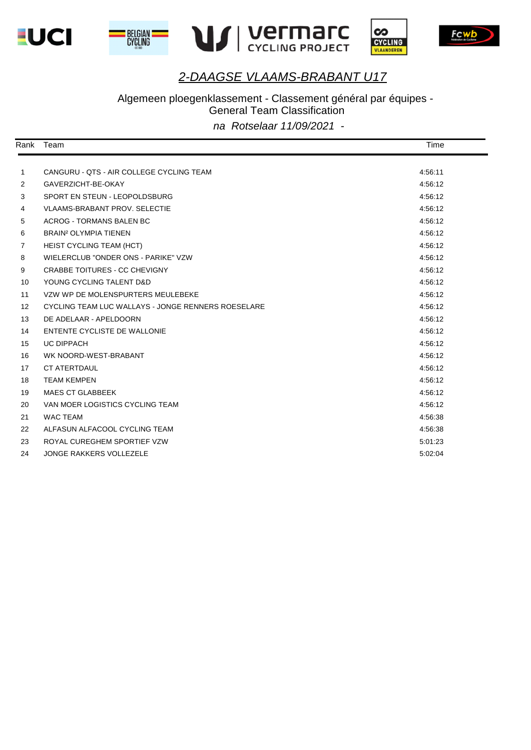







Fcwb

# *2-DAAGSE VLAAMS-BRABANT U17*

## Algemeen ploegenklassement - Classement général par équipes - General Team Classification

| Rank              | Team                                               | Time    |  |
|-------------------|----------------------------------------------------|---------|--|
|                   |                                                    |         |  |
| $\mathbf{1}$      | CANGURU - QTS - AIR COLLEGE CYCLING TEAM           | 4:56:11 |  |
| 2                 | GAVERZICHT-BE-OKAY                                 | 4:56:12 |  |
| 3                 | SPORT EN STEUN - LEOPOLDSBURG                      | 4:56:12 |  |
| 4                 | <b>VLAAMS-BRABANT PROV. SELECTIE</b>               | 4:56:12 |  |
| 5                 | ACROG - TORMANS BALEN BC                           | 4:56:12 |  |
| 6                 | <b>BRAIN<sup>2</sup> OLYMPIA TIENEN</b>            | 4:56:12 |  |
| 7                 | <b>HEIST CYCLING TEAM (HCT)</b>                    | 4:56:12 |  |
| 8                 | WIELERCLUB "ONDER ONS - PARIKE" VZW                | 4:56:12 |  |
| 9                 | <b>CRABBE TOITURES - CC CHEVIGNY</b>               | 4:56:12 |  |
| 10                | YOUNG CYCLING TALENT D&D                           | 4:56:12 |  |
| 11                | VZW WP DE MOLENSPURTERS MEULEBEKE                  | 4:56:12 |  |
| $12 \overline{ }$ | CYCLING TEAM LUC WALLAYS - JONGE RENNERS ROESELARE | 4:56:12 |  |
| 13                | DE ADELAAR - APELDOORN                             | 4:56:12 |  |
| 14                | ENTENTE CYCLISTE DE WALLONIE                       | 4:56:12 |  |
| 15                | <b>UC DIPPACH</b>                                  | 4:56:12 |  |
| 16                | WK NOORD-WEST-BRABANT                              | 4:56:12 |  |
| 17                | <b>CT ATERTDAUL</b>                                | 4:56:12 |  |
| 18                | <b>TEAM KEMPEN</b>                                 | 4:56:12 |  |
| 19                | <b>MAES CT GLABBEEK</b>                            | 4:56:12 |  |
| 20                | VAN MOER LOGISTICS CYCLING TEAM                    | 4:56:12 |  |
| 21                | <b>WAC TEAM</b>                                    | 4:56:38 |  |
| 22                | ALFASUN ALFACOOL CYCLING TEAM                      | 4:56:38 |  |
| 23                | ROYAL CUREGHEM SPORTIEF VZW                        | 5:01:23 |  |
| 24                | <b>JONGE RAKKERS VOLLEZELE</b>                     | 5:02:04 |  |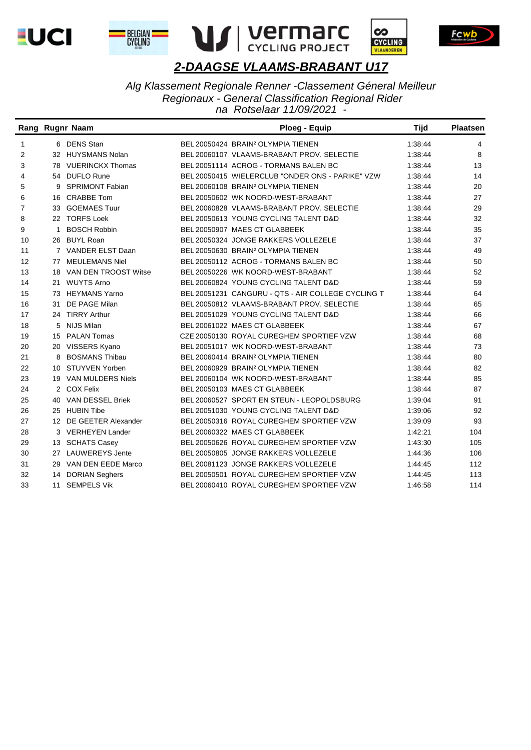









*Alg Klassement Regionale Renner -Classement Géneral Meilleur Regionaux - General Classification Regional Rider na Rotselaar 11/09/2021 -* 

|                   |    | Rang Rugnr Naam          | Ploeg - Equip                                      | <b>Tijd</b> | <b>Plaatsen</b> |
|-------------------|----|--------------------------|----------------------------------------------------|-------------|-----------------|
| $\mathbf{1}$      |    | 6 DENS Stan              | BEL 20050424 BRAIN <sup>2</sup> OLYMPIA TIENEN     | 1:38:44     | $\overline{4}$  |
| 2                 |    | 32 HUYSMANS Nolan        | BEL 20060107 VLAAMS-BRABANT PROV. SELECTIE         | 1:38:44     | 8               |
| 3                 |    | 78 VUERINCKX Thomas      | BEL 20051114 ACROG - TORMANS BALEN BC              | 1.38:44     | 13              |
| 4                 |    | 54 DUFLO Rune            | BEL 20050415 WIELERCLUB "ONDER ONS - PARIKE" VZW   | 1:38:44     | 14              |
| 5                 | 9  | <b>SPRIMONT Fabian</b>   | BEL 20060108 BRAIN <sup>2</sup> OLYMPIA TIENEN     | 1:38:44     | 20              |
| 6                 | 16 | <b>CRABBE Tom</b>        | BEL 20050602 WK NOORD-WEST-BRABANT                 | 1:38:44     | 27              |
| $\overline{7}$    | 33 | <b>GOEMAES Tuur</b>      | BEL 20060828 VLAAMS-BRABANT PROV. SELECTIE         | 1:38:44     | 29              |
| 8                 |    | 22 TORFS Loek            | BEL 20050613 YOUNG CYCLING TALENT D&D              | 1:38:44     | 32              |
| 9                 | 1  | <b>BOSCH Robbin</b>      | BEL 20050907 MAES CT GLABBEEK                      | 1:38:44     | 35              |
| 10                |    | 26 BUYL Roan             | BEL 20050324 JONGE RAKKERS VOLLEZELE               | 1:38:44     | 37              |
| 11                |    | 7 VANDER ELST Daan       | BEL 20050630 BRAIN <sup>2</sup> OLYMPIA TIENEN     | 1:38:44     | 49              |
| $12 \overline{ }$ |    | 77 MEULEMANS Niel        | BEL 20050112 ACROG - TORMANS BALEN BC              | 1:38:44     | 50              |
| 13                | 18 | VAN DEN TROOST Witse     | BEL 20050226 WK NOORD-WEST-BRABANT                 | 1:38:44     | 52              |
| 14                | 21 | <b>WUYTS Arno</b>        | BEL 20060824 YOUNG CYCLING TALENT D&D              | 1:38:44     | 59              |
| 15                |    | 73 HEYMANS Yarno         | BEL 20051231 CANGURU - QTS - AIR COLLEGE CYCLING T | 1:38:44     | 64              |
| 16                | 31 | DE PAGE Milan            | BEL 20050812 VLAAMS-BRABANT PROV. SELECTIE         | 1:38:44     | 65              |
| 17                | 24 | <b>TIRRY Arthur</b>      | BEL 20051029 YOUNG CYCLING TALENT D&D              | 1:38:44     | 66              |
| 18                | 5  | NIJS Milan               | BEL 20061022 MAES CT GLABBEEK                      | 1:38:44     | 67              |
| 19                | 15 | <b>PALAN Tomas</b>       | CZE 20050130 ROYAL CUREGHEM SPORTIEF VZW           | 1:38:44     | 68              |
| 20                | 20 | VISSERS Kyano            | BEL 20051017 WK NOORD-WEST-BRABANT                 | 1:38:44     | 73              |
| 21                | 8  | <b>BOSMANS Thibau</b>    | BEL 20060414 BRAIN <sup>2</sup> OLYMPIA TIENEN     | 1:38:44     | 80              |
| 22                | 10 | <b>STUYVEN Yorben</b>    | BEL 20060929 BRAIN <sup>2</sup> OLYMPIA TIENEN     | 1:38:44     | 82              |
| 23                | 19 | <b>VAN MULDERS Niels</b> | BEL 20060104 WK NOORD-WEST-BRABANT                 | 1:38:44     | 85              |
| 24                | 2  | <b>COX Felix</b>         | BEL 20050103 MAES CT GLABBEEK                      | 1:38:44     | 87              |
| 25                | 40 | VAN DESSEL Briek         | BEL 20060527 SPORT EN STEUN - LEOPOLDSBURG         | 1:39:04     | 91              |
| 26                | 25 | <b>HUBIN Tibe</b>        | BEL 20051030 YOUNG CYCLING TALENT D&D              | 1:39:06     | 92              |
| 27                | 12 | DE GEETER Alexander      | BEL 20050316 ROYAL CUREGHEM SPORTIEF VZW           | 1:39:09     | 93              |
| 28                |    | 3 VERHEYEN Lander        | BEL 20060322 MAES CT GLABBEEK                      | 1:42:21     | 104             |
| 29                |    | 13 SCHATS Casey          | BEL 20050626 ROYAL CUREGHEM SPORTIEF VZW           | 1:43:30     | 105             |
| 30                | 27 | <b>LAUWEREYS Jente</b>   | BEL 20050805 JONGE RAKKERS VOLLEZELE               | 1:44:36     | 106             |
| 31                | 29 | VAN DEN EEDE Marco       | BEL 20081123 JONGE RAKKERS VOLLEZELE               | 1:44:45     | 112             |
| 32                | 14 | <b>DORIAN Seghers</b>    | BEL 20050501 ROYAL CUREGHEM SPORTIEF VZW           | 1:44:45     | 113             |
| 33                | 11 | <b>SEMPELS Vik</b>       | BEL 20060410 ROYAL CUREGHEM SPORTIEF VZW           | 1:46:58     | 114             |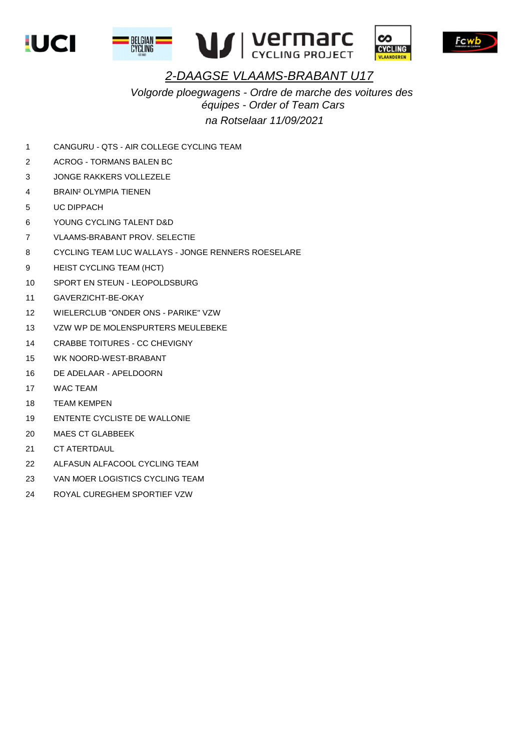









*Volgorde ploegwagens - Ordre de marche des voitures des équipes - Order of Team Cars na Rotselaar 11/09/2021* 

- 1 CANGURU QTS AIR COLLEGE CYCLING TEAM
- 2 ACROG TORMANS BALEN BC
- 3 JONGE RAKKERS VOLLEZELE
- 4 BRAIN<sup>2</sup> OLYMPIA TIENEN
- 5 UC DIPPACH
- 6 YOUNG CYCLING TALENT D&D
- 7 VLAAMS-BRABANT PROV. SELECTIE
- 8 CYCLING TEAM LUC WALLAYS JONGE RENNERS ROESELARE
- 9 HEIST CYCLING TEAM (HCT)
- 10 SPORT EN STEUN LEOPOLDSBURG
- 11 GAVERZICHT-BE-OKAY
- 12 WIELERCLUB "ONDER ONS PARIKE" VZW
- 13 VZW WP DE MOLENSPURTERS MEULEBEKE
- 14 CRABBE TOITURES CC CHEVIGNY
- 15 WK NOORD-WEST-BRABANT
- 16 DE ADELAAR APELDOORN
- 17 WAC TEAM Rang 1ste renner: the renew that the renew the renew the renew that the renew the renew the renew that the renew the renew the renew that the renew the renew the renew that the renew the renew the renew that th
- 18 TEAM KEMPEN
- 19 ENTENTE CYCLISTE DE WALLONIE
- 20 MAES CT GLABBEEK
- 21 CT ATERTDAUL
- 22 ALFASUN ALFACOOL CYCLING TEAM
- 23 VAN MOER LOGISTICS CYCLING TEAM
- 24 ROYAL CUREGHEM SPORTIEF VZW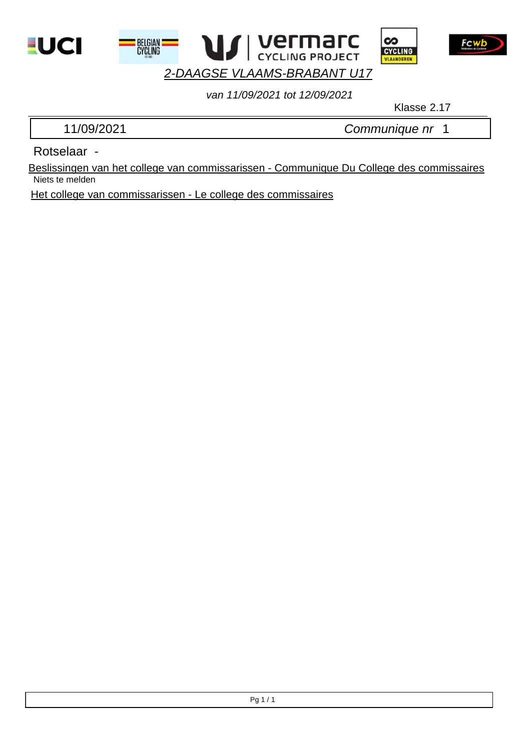





*van 11/09/2021 tot 12/09/2021*

Klasse 2.17

11/09/2021 *Communique nr* 1

Rotselaar -

Niets te melden Beslissingen van het college van commissarissen - Communique Du College des commissaires

Het college van commissarissen - Le college des commissaires

BELGIAN :<br>CYCLING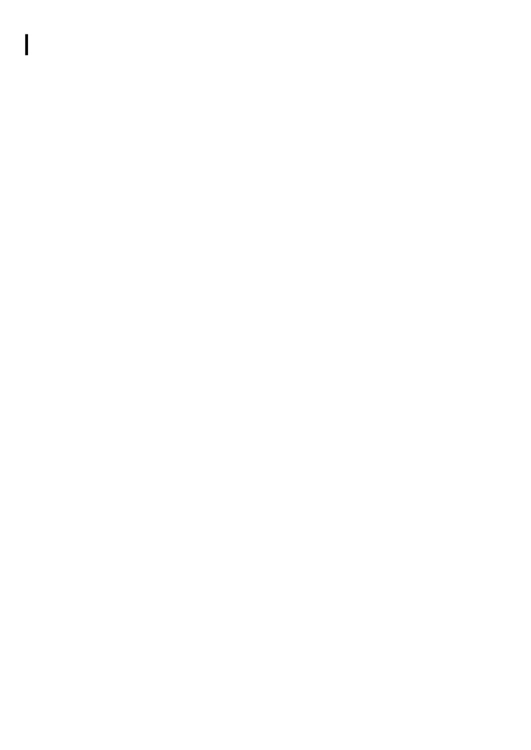I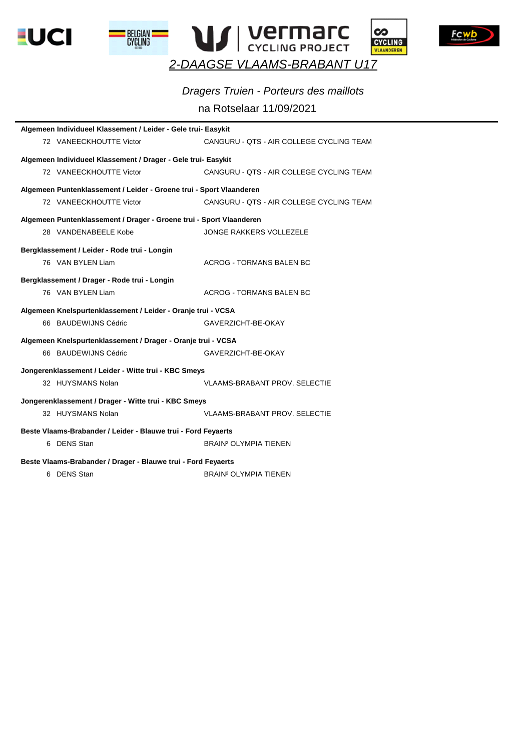







## *Dragers Truien - Porteurs des maillots*

| Algemeen Individueel Klassement / Leider - Gele trui- Easykit |                                                                     |                                          |  |  |  |  |  |  |
|---------------------------------------------------------------|---------------------------------------------------------------------|------------------------------------------|--|--|--|--|--|--|
| 72 VANEECKHOUTTE Victor                                       |                                                                     | CANGURU - QTS - AIR COLLEGE CYCLING TEAM |  |  |  |  |  |  |
|                                                               | Algemeen Individueel Klassement / Drager - Gele trui- Easykit       |                                          |  |  |  |  |  |  |
| 72 VANEECKHOUTTE Victor                                       |                                                                     | CANGURU - QTS - AIR COLLEGE CYCLING TEAM |  |  |  |  |  |  |
|                                                               | Algemeen Puntenklassement / Leider - Groene trui - Sport Vlaanderen |                                          |  |  |  |  |  |  |
| 72 VANEECKHOUTTE Victor                                       |                                                                     | CANGURU - QTS - AIR COLLEGE CYCLING TEAM |  |  |  |  |  |  |
|                                                               |                                                                     |                                          |  |  |  |  |  |  |
|                                                               | Algemeen Puntenklassement / Drager - Groene trui - Sport Vlaanderen |                                          |  |  |  |  |  |  |
| 28 VANDENABEELE Kobe                                          |                                                                     | JONGE RAKKERS VOLLEZELE                  |  |  |  |  |  |  |
| Bergklassement / Leider - Rode trui - Longin                  |                                                                     |                                          |  |  |  |  |  |  |
| 76 VAN BYLEN Liam                                             |                                                                     | ACROG - TORMANS BALEN BC                 |  |  |  |  |  |  |
| Bergklassement / Drager - Rode trui - Longin                  |                                                                     |                                          |  |  |  |  |  |  |
| 76 VAN BYLEN Liam                                             |                                                                     | <b>ACROG - TORMANS BALEN BC</b>          |  |  |  |  |  |  |
|                                                               | Algemeen Knelspurtenklassement / Leider - Oranje trui - VCSA        |                                          |  |  |  |  |  |  |
| 66 BAUDEWIJNS Cédric                                          |                                                                     | GAVERZICHT-BE-OKAY                       |  |  |  |  |  |  |
|                                                               | Algemeen Knelspurtenklassement / Drager - Oranje trui - VCSA        |                                          |  |  |  |  |  |  |
| 66 BAUDEWIJNS Cédric                                          |                                                                     | GAVERZICHT-BE-OKAY                       |  |  |  |  |  |  |
|                                                               |                                                                     |                                          |  |  |  |  |  |  |
|                                                               | Jongerenklassement / Leider - Witte trui - KBC Smeys                |                                          |  |  |  |  |  |  |
| 32 HUYSMANS Nolan                                             |                                                                     | <b>VLAAMS-BRABANT PROV. SELECTIE</b>     |  |  |  |  |  |  |
|                                                               | Jongerenklassement / Drager - Witte trui - KBC Smeys                |                                          |  |  |  |  |  |  |
| 32 HUYSMANS Nolan                                             |                                                                     | <b>VLAAMS-BRABANT PROV. SELECTIE</b>     |  |  |  |  |  |  |
|                                                               | Beste Vlaams-Brabander / Leider - Blauwe trui - Ford Feyaerts       |                                          |  |  |  |  |  |  |
| 6 DENS Stan                                                   |                                                                     | <b>BRAIN<sup>2</sup> OLYMPIA TIENEN</b>  |  |  |  |  |  |  |
|                                                               | Beste Vlaams-Brabander / Drager - Blauwe trui - Ford Feyaerts       |                                          |  |  |  |  |  |  |
| 6 DENS Stan                                                   |                                                                     | BRAIN <sup>2</sup> OLYMPIA TIENEN        |  |  |  |  |  |  |
|                                                               |                                                                     |                                          |  |  |  |  |  |  |
|                                                               |                                                                     |                                          |  |  |  |  |  |  |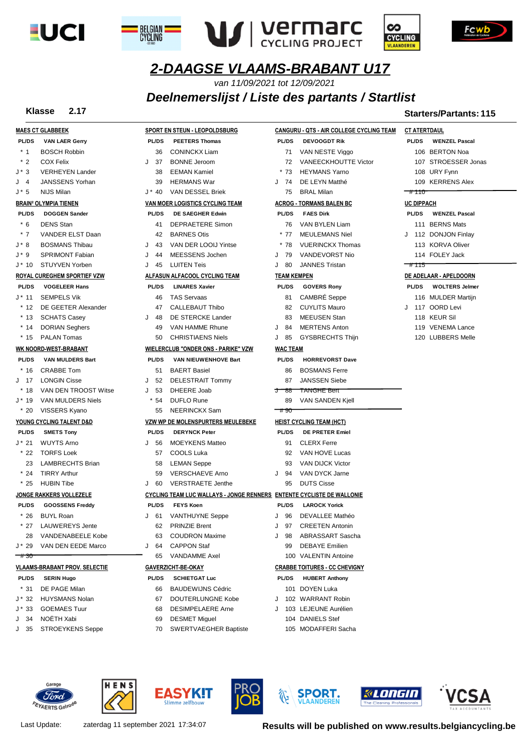









van 11/09/2021 tot 12/09/2021

# Deelnemerslijst / Liste des partants / Startlist

### **Starters/Partants: 115**

### $2.17$ **Klasse**

**MAES CT GLABBEEK**  $\sim$   $\sim$   $\sim$ 

| <b>PL/DS</b>         | <b>VAN LAER Gerry</b>                   |   | <b>PL/DS</b>       | PE         |
|----------------------|-----------------------------------------|---|--------------------|------------|
| $*1$                 | <b>BOSCH Robbin</b>                     |   | 36                 | CO         |
| *<br>$\overline{2}$  | <b>COX Felix</b>                        | J | 37                 | <b>BO</b>  |
| $J * 3$              | <b>VERHEYEN Lander</b>                  |   | 38                 | EEI        |
| J<br>$\overline{4}$  | <b>JANSSENS Yorhan</b>                  |   | 39                 | HEI        |
| $J*5$                | <b>NIJS Milan</b>                       |   | $J*40$             | VAI        |
|                      | <b>BRAIN<sup>2</sup> OLYMPIA TIENEN</b> |   | <b>VAN MOER LC</b> |            |
| <b>PL/DS</b>         | <b>DOGGEN Sander</b>                    |   | PL/DS              | DE         |
| $*6$                 | <b>DENS Stan</b>                        |   | 41                 | DEI        |
| $*7$                 | VANDER ELST Daan                        |   | 42                 | BAI        |
| $J * 8$              | <b>BOSMANS Thibau</b>                   | J | 43                 | VAI        |
| J * 9                | <b>SPRIMONT Fabian</b>                  | J | 44                 | МE         |
| J * 10               | STUYVEN Yorben                          | J | 45                 | LUI        |
|                      | <b>ROYAL CUREGHEM SPORTIEF VZW</b>      |   | <u>ALFASUN ALF</u> |            |
| <b>PL/DS</b>         | <b>VOGELEER Hans</b>                    |   | <b>PL/DS</b>       | Ш          |
| $J*11$               | <b>SEMPELS Vik</b>                      |   | 46                 | <b>TAS</b> |
| $*12$                | DE GEETER Alexander                     |   | 47                 | CAI        |
| $*13$                | <b>SCHATS Casey</b>                     | J | 48                 | DE         |
| $*14$                | <b>DORIAN Seghers</b>                   |   | 49                 | VAI        |
| $*15$                | <b>PALAN Tomas</b>                      |   | 50                 | CН         |
|                      | WK NOORD-WEST-BRABANT                   |   | <b>WIELERCLUB</b>  |            |
| <b>PL/DS</b>         | <b>VAN MULDERS Bart</b>                 |   | PL/DS              | VA         |
| $*16$                | <b>CRABBE Tom</b>                       |   | 51                 | BAI        |
| J<br>17 <sup>2</sup> | <b>LONGIN Cisse</b>                     | J | 52                 | DEI        |
| $*18$                | VAN DEN TROOST Witse                    | J | 53                 | DH         |
| J * 19               | VAN MULDERS Niels                       |   | $*54$              | DU         |
| $*20$                | VISSERS Kyano                           |   | 55                 | NEI        |
|                      | YOUNG CYCLING TALENT D&D                |   | VZW WP DE M        |            |
| PL/DS                | <b>SMETS Tony</b>                       |   | <b>PL/DS</b>       | DE         |
| $J*21$               | <b>WUYTS Arno</b>                       | J | 56                 | <b>MO</b>  |
| $*22$                | <b>TORFS Loek</b>                       |   | 57                 | CO         |
| 23                   | <b>LAMBRECHTS Brian</b>                 |   | 58                 | LEN        |
| $*24$                | <b>TIRRY Arthur</b>                     |   | 59                 | VEI        |
| $*25$                | <b>HUBIN Tibe</b>                       | J | 60                 | <b>VEI</b> |
|                      | <b>JONGE RAKKERS VOLLEZELE</b>          |   | <b>CYCLING TEA</b> |            |
| <b>PL/DS</b>         | <b>GOOSSENS Freddy</b>                  |   | <b>PL/DS</b>       | FE         |
| $*26$                | <b>BUYL Roan</b>                        | J | 61                 | VAI        |
| $*27$                | <b>LAUWEREYS Jente</b>                  |   | 62                 | PRI        |
| 28                   | VANDENABEELE Kobe                       |   | 63                 | CO         |
| J * 29               | VAN DEN EEDE Marco                      | J | 64                 | CAI        |
| #30                  |                                         |   | 65                 | VAI        |
|                      | <b>VLAAMS-BRABANT PROV. SELECTIE</b>    |   | <b>GAVERZICHT-</b> |            |
| <b>PL/DS</b>         | <b>SERIN Hugo</b>                       |   | PL/DS              | <b>SC</b>  |
|                      | * 31 DE PAGE Milan                      |   | 66                 | BAI        |
|                      | J* 32 HUYSMANS Nolan                    |   | 67                 | DO         |
|                      | J* 33 GOEMAES Tuur                      |   | 68                 | DE:        |
|                      | J 34 NOËTH Xabi                         |   | 69                 | DE:        |
|                      |                                         |   |                    |            |

J 35 STROEYKENS Seppe

|                                      |              | <b>SPORT EN STEUN - LEOPOLDSBURG</b>                                  |   |                    | <b>CANGURU - QTS - AIR COLLEGE CYCLING TEAM</b> |  |                    | <u>CT ATERTDAUL</u> |
|--------------------------------------|--------------|-----------------------------------------------------------------------|---|--------------------|-------------------------------------------------|--|--------------------|---------------------|
|                                      | PL/DS        | <b>PEETERS Thomas</b>                                                 |   | PL/DS              | <b>DEVOOGDT Rik</b>                             |  | <b>PL/DS</b>       | WEN                 |
|                                      | 36           | <b>CONINCKX Liam</b>                                                  |   | 71                 | VAN NESTE Viggo                                 |  |                    | 106 BER1            |
| J                                    | 37           | <b>BONNE Jeroom</b>                                                   |   | 72                 | <b>VANEECKHOUTTE Victor</b>                     |  |                    | 107 STRO            |
|                                      | 38           | <b>EEMAN Kamiel</b>                                                   |   | $*73$              | <b>HEYMANS Yarno</b>                            |  |                    | 108 URY             |
|                                      | 39           | <b>HERMANS War</b>                                                    | J | - 74               | DE LEYN Matthé                                  |  |                    | <b>109 KERF</b>     |
|                                      | J * 40       | VAN DESSEL Briek                                                      |   | 75                 | <b>BRAL Milan</b>                               |  | #110               |                     |
|                                      |              | VAN MOER LOGISTICS CYCLING TEAM                                       |   |                    | <b>ACROG - TORMANS BALEN BC</b>                 |  | <b>UC DIPPACH</b>  |                     |
|                                      | <b>PL/DS</b> | DE SAEGHER Edwin                                                      |   | <b>PL/DS</b>       | <b>FAES Dirk</b>                                |  | <b>PL/DS</b>       | WEN                 |
|                                      | 41           | <b>DEPRAETERE Simon</b>                                               |   | 76                 | VAN BYLEN Liam                                  |  |                    | 111 BERI            |
|                                      | 42           | <b>BARNES Otis</b>                                                    |   | $*77$              | <b>MEULEMANS Niel</b>                           |  |                    | J 112 DON.          |
| J                                    | 43           | VAN DER LOOIJ Yintse                                                  |   | * 78               | <b>VUERINCKX Thomas</b>                         |  |                    | 113 KOR             |
| J                                    | 44           | MEESSENS Jochen                                                       |   | J 79               | VANDEVORST Nio                                  |  |                    | 114 FOLE            |
| J                                    | 45           | <b>LUITEN Teis</b>                                                    |   | $J$ 80             | <b>JANNES Tristan</b>                           |  | <del>-#115 -</del> |                     |
| <b>ALFASUN ALFACOOL CYCLING TEAM</b> |              |                                                                       |   | <b>TEAM KEMPEN</b> |                                                 |  |                    | DE ADELAAR - /      |
|                                      | <b>PL/DS</b> | <b>LINARES Xavier</b>                                                 |   | <b>PL/DS</b>       | <b>GOVERS Rony</b>                              |  | <b>PL/DS</b>       | WOL                 |
|                                      | 46           | <b>TAS Servaas</b>                                                    |   | 81                 | <b>CAMBRE Seppe</b>                             |  |                    | <b>116 MULI</b>     |
|                                      | 47           | CALLEBAUT Thibo                                                       |   | 82                 | <b>CUYLITS Mauro</b>                            |  |                    | J 117 OOR           |
| J                                    | 48           | DE STERCKE Lander                                                     |   | 83                 | <b>MEEUSEN Stan</b>                             |  |                    | 118 KEUF            |
|                                      | 49           | VAN HAMME Rhune                                                       |   | $J$ 84             | <b>MERTENS Anton</b>                            |  |                    | <b>119 VENE</b>     |
|                                      | 50           | <b>CHRISTIAENS Niels</b>                                              | J | 85                 | <b>GYSBRECHTS Thiin</b>                         |  |                    | 120 LUBE            |
|                                      |              | <b>WIELERCLUB "ONDER ONS - PARIKE" VZW</b>                            |   | <b>WAC TEAM</b>    |                                                 |  |                    |                     |
|                                      | <b>PL/DS</b> | VAN NIEUWENHOVE Bart                                                  |   | PL/DS              | <b>HORREVORST Dave</b>                          |  |                    |                     |
|                                      | 51           | <b>BAERT Basiel</b>                                                   |   | 86                 | <b>BOSMANS Ferre</b>                            |  |                    |                     |
| J                                    | 52           | <b>DELESTRAIT Tommy</b>                                               |   | 87                 | <b>JANSSEN Siebe</b>                            |  |                    |                     |
| J                                    | 53           | DHEERE Joab                                                           |   | J 88               | <b>TANGHE Bert</b>                              |  |                    |                     |
|                                      | $*54$        | <b>DUFLO Rune</b>                                                     |   | 89                 | VAN SANDEN Kjell                                |  |                    |                     |
|                                      | 55           | NEERINCKX Sam                                                         |   | #90                |                                                 |  |                    |                     |
|                                      |              | VZW WP DE MOLENSPURTERS MEULEBEKE                                     |   |                    | <b>HEIST CYCLING TEAM (HCT)</b>                 |  |                    |                     |
|                                      | <b>PL/DS</b> | <b>DERYNCK Peter</b>                                                  |   | <b>PL/DS</b>       | DE PRETER Emiel                                 |  |                    |                     |
| J                                    | 56           | <b>MOEYKENS Matteo</b>                                                |   | 91                 | <b>CLERX Ferre</b>                              |  |                    |                     |
|                                      | 57           | COOLS Luka                                                            |   | 92                 | VAN HOVE Lucas                                  |  |                    |                     |
|                                      | 58           | <b>LEMAN Seppe</b>                                                    |   | 93                 | <b>VAN DIJCK Victor</b>                         |  |                    |                     |
|                                      | 59           | <b>VERSCHAEVE Arno</b>                                                |   | J 94               | VAN DYCK Jarne                                  |  |                    |                     |
| J                                    | 60           | <b>VERSTRAETE Jenthe</b>                                              |   | 95                 | <b>DUTS Cisse</b>                               |  |                    |                     |
|                                      |              | CYCLING TEAM LUC WALLAYS - JONGE RENNERS ENTENTE CYCLISTE DE WALLONIE |   |                    |                                                 |  |                    |                     |
|                                      | <b>PL/DS</b> | <b>FEYS Koen</b>                                                      |   | <b>PL/DS</b>       | <b>LAROCK Yorick</b>                            |  |                    |                     |
| J                                    | 61           | <b>VANTHUYNE Seppe</b>                                                | J | 96                 | <b>DEVALLEE Mathéo</b>                          |  |                    |                     |
|                                      | 62           | <b>PRINZIE Brent</b>                                                  | J | 97                 | <b>CREETEN Antonin</b>                          |  |                    |                     |

- **UDRON Maxime**
- **PPON Staf** NDAMME Axel
- -BE-OKAY

- **CHIETGAT Luc UDEWIJNS Cédric**
- **ILITERI LINGNE Kobe**
- SIMPELAERE Arne
- 
- **SMET Miquel**
- 70 SWERTVAEGHER Baptiste
- **DS** DEVOOGDT Rik PL/DS WENZEL Pascal 71 VAN NESTE Viggo 106 BERTON Noa 72 VANEECKHOUTTE Victor 107 STROESSER Jonas 73 HEYMANS Yarno 108 URY Fynn 74 DE LEYN Matthé 109 KERRENS Alex 75 BRAL Milan  $7#110$ OG - TORMANS BALEN BC **UC DIPPACH DS** FAFS Dirk PL/DS WENZEL Pascal 76 VAN BYLEN Liam 111 BERNS Mats 77 MEULEMANS Niel J 112 DONJON Finlay **VUERINCKX Thomas** 113 KORVA Oliver 78 79 VANDEVORST Nio 114 FOLEY Jack **JANNES Tristan** 80  $#115$ **M KEMPEN** DE ADELAAR - APELDOORN ns. **GOVERS Rony** PL/DS WOLTERS Jelmer **CAMBRÉ** Seppe 116 MULDER Martijn 81 **CUYLITS Mauro** J 117 OORD Levi 82 **MEEUSEN Stan** 118 KEUR Sil 83 84 MERTENS Anton 119 VENEMA Lance 85 GYSBRECHTS Thijn 120 LUBBERS Melle **TEAM** 'ns. **HORREVORST Dave** 86 **BOSMANS Ferre** 87 **JANSSEN Siebe TANGHE Bert** ŔЯ 8d **VAN SANDEN Kjell** 9f **ST CYCLING TEAM (HCT)** DS DE PRETER Emiel 91 CLERX Ferre 92 VAN HOVE Lucas 93 VAN DIJCK Victor 94 VAN DYCK Jarne 95 DUTS Cisse ENTE CYCLISTE DE WALLONIE 'DS **LAROCK Yorick** 96 DEVALLEE Mathéo **CREETEN Antonin** 97 J 98 ABRASSART Sascha DERAYE Emilien  $99$ 100 VALENTIN Antoine **CRABBE TOITURES - CC CHEVIGNY**

- PL/DS HUBERT Anthony 101 DOYEN Luka
- 1 102 WARRANT Robin
- J 103 LEJEUNE Aurélien
- 104 DANIELS Stef
	- 105 MODAFFERI Sacha













Results will be published on www.results.belgiancycling.be